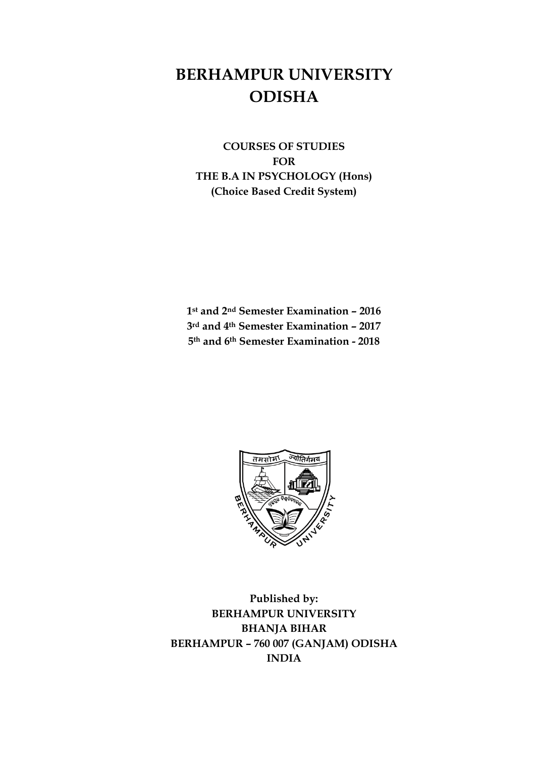# **BERHAMPUR UNIVERSITY ODISHA**

**COURSES OF STUDIES FOR THE B.A IN PSYCHOLOGY (Hons) (Choice Based Credit System)**

**1st and 2nd Semester Examination – 2016 3rd and 4th Semester Examination – 2017 5th and 6th Semester Examination - 2018**



**Published by: BERHAMPUR UNIVERSITY BHANJA BIHAR BERHAMPUR – 760 007 (GANJAM) ODISHA INDIA**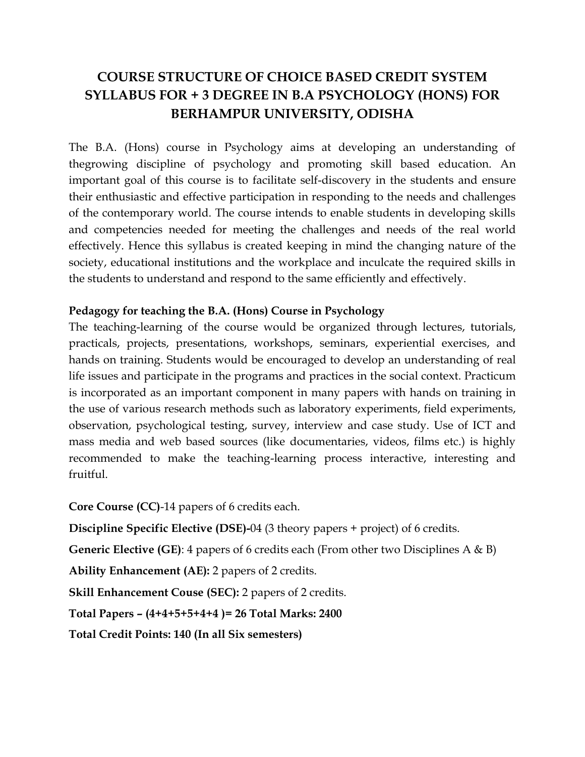# **COURSE STRUCTURE OF CHOICE BASED CREDIT SYSTEM SYLLABUS FOR + 3 DEGREE IN B.A PSYCHOLOGY (HONS) FOR BERHAMPUR UNIVERSITY, ODISHA**

The B.A. (Hons) course in Psychology aims at developing an understanding of thegrowing discipline of psychology and promoting skill based education. An important goal of this course is to facilitate self-discovery in the students and ensure their enthusiastic and effective participation in responding to the needs and challenges of the contemporary world. The course intends to enable students in developing skills and competencies needed for meeting the challenges and needs of the real world effectively. Hence this syllabus is created keeping in mind the changing nature of the society, educational institutions and the workplace and inculcate the required skills in the students to understand and respond to the same efficiently and effectively.

# **Pedagogy for teaching the B.A. (Hons) Course in Psychology**

The teaching-learning of the course would be organized through lectures, tutorials, practicals, projects, presentations, workshops, seminars, experiential exercises, and hands on training. Students would be encouraged to develop an understanding of real life issues and participate in the programs and practices in the social context. Practicum is incorporated as an important component in many papers with hands on training in the use of various research methods such as laboratory experiments, field experiments, observation, psychological testing, survey, interview and case study. Use of ICT and mass media and web based sources (like documentaries, videos, films etc.) is highly recommended to make the teaching-learning process interactive, interesting and fruitful.

**Core Course (CC)**-14 papers of 6 credits each.

**Discipline Specific Elective (DSE)-**04 (3 theory papers + project) of 6 credits.

**Generic Elective (GE)**: 4 papers of 6 credits each (From other two Disciplines A & B)

**Ability Enhancement (AE):** 2 papers of 2 credits.

**Skill Enhancement Couse (SEC):** 2 papers of 2 credits.

**Total Papers – (4+4+5+5+4+4 )= 26 Total Marks: 2400** 

**Total Credit Points: 140 (In all Six semesters)**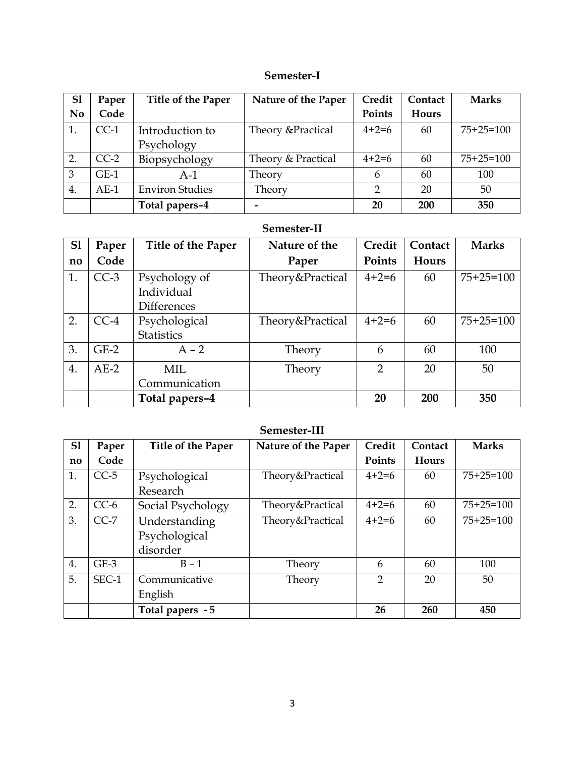# **Semester-I**

| S <sub>1</sub>   | Paper  | Title of the Paper     | Nature of the Paper | Credit  | Contact | <b>Marks</b> |
|------------------|--------|------------------------|---------------------|---------|---------|--------------|
| N <sub>0</sub>   | Code   |                        |                     | Points  | Hours   |              |
| 1.               | $CC-1$ | Introduction to        | Theory & Practical  | $4+2=6$ | 60      | $75+25=100$  |
|                  |        | Psychology             |                     |         |         |              |
| $\overline{2}$ . | $CC-2$ | Biopsychology          | Theory & Practical  | $4+2=6$ | 60      | $75+25=100$  |
| 3                | $GE-1$ | $A-1$                  | Theory              | 6       | 60      | 100          |
| 4.               | $AE-1$ | <b>Environ Studies</b> | Theory              | C       | 20      | 50           |
|                  |        | Total papers-4         |                     | 20      | 200     | 350          |

## **Semester-II**

| S <sub>1</sub> | Paper  | <b>Title of the Paper</b>          | Nature of the    | Credit         | Contact | <b>Marks</b> |
|----------------|--------|------------------------------------|------------------|----------------|---------|--------------|
| no             | Code   |                                    | Paper            | Points         | Hours   |              |
| 1.             | $CC-3$ | Psychology of<br>Individual        | Theory&Practical | $4+2=6$        | 60      | $75+25=100$  |
|                |        | <b>Differences</b>                 |                  |                |         |              |
| 2.             | $CC-4$ | Psychological<br><b>Statistics</b> | Theory&Practical | $4+2=6$        | 60      | $75+25=100$  |
| 3.             | $GE-2$ | $A - 2$                            | Theory           | 6              | 60      | 100          |
| 4.             | $AE-2$ | MIL.<br>Communication              | Theory           | $\overline{2}$ | 20      | 50           |
|                |        | Total papers-4                     |                  | 20             | 200     | 350          |

## **Semester-III**

| S1           | Paper  | Title of the Paper | Nature of the Paper | Credit         | Contact | <b>Marks</b> |
|--------------|--------|--------------------|---------------------|----------------|---------|--------------|
| $\mathbf{n}$ | Code   |                    |                     | Points         | Hours   |              |
| 1.           | $CC-5$ | Psychological      | Theory&Practical    | $4+2=6$        | 60      | $75+25=100$  |
|              |        | Research           |                     |                |         |              |
| 2.           | $CC-6$ | Social Psychology  | Theory&Practical    | $4+2=6$        | 60      | $75+25=100$  |
| 3.           | $CC-7$ | Understanding      | Theory&Practical    | $4+2=6$        | 60      | $75+25=100$  |
|              |        | Psychological      |                     |                |         |              |
|              |        | disorder           |                     |                |         |              |
| 4.           | $GE-3$ | $B - 1$            | Theory              | 6              | 60      | 100          |
| 5.           | SEC-1  | Communicative      | Theory              | $\overline{2}$ | 20      | 50           |
|              |        | English            |                     |                |         |              |
|              |        | Total papers - 5   |                     | 26             | 260     | 450          |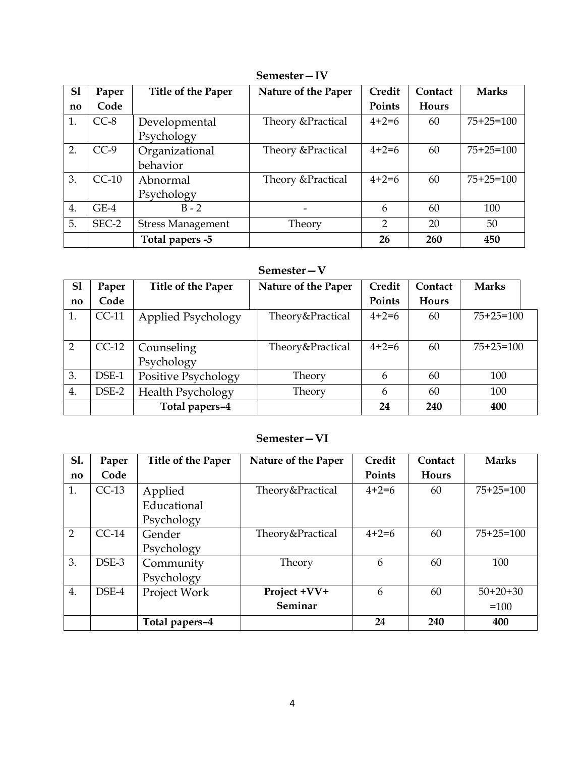| S1                     | Paper   | <b>Title of the Paper</b> | Nature of the Paper | Credit         | Contact | <b>Marks</b> |
|------------------------|---------|---------------------------|---------------------|----------------|---------|--------------|
| $\mathbf{n}\mathbf{o}$ | Code    |                           |                     | Points         | Hours   |              |
| 1.                     | $CC-8$  | Developmental             | Theory & Practical  | $4+2=6$        | 60      | $75+25=100$  |
|                        |         | Psychology                |                     |                |         |              |
| 2.                     | $CC-9$  | Organizational            | Theory & Practical  | $4+2=6$        | 60      | $75+25=100$  |
|                        |         | behavior                  |                     |                |         |              |
| 3.                     | $CC-10$ | Abnormal                  | Theory & Practical  | $4+2=6$        | 60      | $75+25=100$  |
|                        |         | Psychology                |                     |                |         |              |
| 4.                     | $GE-4$  | $B - 2$                   |                     | 6              | 60      | 100          |
| 5.                     | SEC-2   | <b>Stress Management</b>  | Theory              | $\overline{2}$ | 20      | 50           |
|                        |         | Total papers -5           |                     | 26             | 260     | 450          |

# **Semester—IV**

# **Semester—V**

| S <sub>1</sub> | Paper   | Title of the Paper       | Nature of the Paper | Credit  | Contact      | <b>Marks</b> |
|----------------|---------|--------------------------|---------------------|---------|--------------|--------------|
| no             | Code    |                          |                     | Points  | <b>Hours</b> |              |
| 1.             | $CC-11$ | Applied Psychology       | Theory&Practical    | $4+2=6$ | 60           | $75+25=100$  |
| 2              | $CC-12$ | Counseling<br>Psychology | Theory&Practical    | $4+2=6$ | 60           | $75+25=100$  |
| 3.             | DSE-1   | Positive Psychology      | Theory              | 6       | 60           | 100          |
| 4.             | DSE-2   | Health Psychology        | Theory              | 6       | 60           | 100          |
|                |         | Total papers-4           |                     | 24      | 240          | 400          |

# **Semester—VI**

| <b>S1.</b>             | Paper   | Title of the Paper | Nature of the Paper | Credit  | Contact      | <b>Marks</b> |
|------------------------|---------|--------------------|---------------------|---------|--------------|--------------|
| $\mathbf{n}\mathbf{o}$ | Code    |                    |                     | Points  | <b>Hours</b> |              |
| 1.                     | $CC-13$ | Applied            | Theory&Practical    | $4+2=6$ | 60           | $75+25=100$  |
|                        |         | Educational        |                     |         |              |              |
|                        |         | Psychology         |                     |         |              |              |
| 2                      | $CC-14$ | Gender             | Theory&Practical    | $4+2=6$ | 60           | $75+25=100$  |
|                        |         | Psychology         |                     |         |              |              |
| 3.                     | DSE-3   | Community          | Theory              | 6       | 60           | 100          |
|                        |         | Psychology         |                     |         |              |              |
| 4.                     | DSE-4   | Project Work       | Project +VV+        | 6       | 60           | $50+20+30$   |
|                        |         |                    | Seminar             |         |              | $=100$       |
|                        |         | Total papers-4     |                     | 24      | 240          | 400          |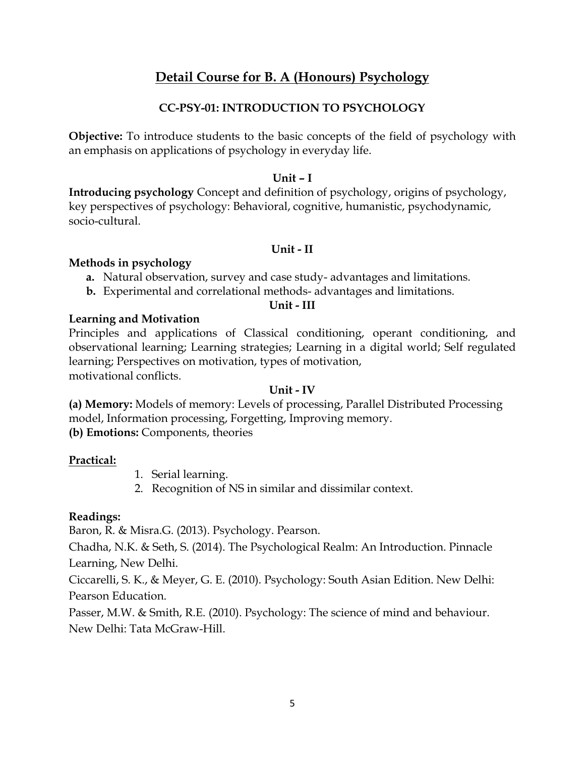# **Detail Course for B. A (Honours) Psychology**

# **CC-PSY-01: INTRODUCTION TO PSYCHOLOGY**

**Objective:** To introduce students to the basic concepts of the field of psychology with an emphasis on applications of psychology in everyday life.

### **Unit – I**

**Introducing psychology** Concept and definition of psychology, origins of psychology, key perspectives of psychology: Behavioral, cognitive, humanistic, psychodynamic, socio-cultural.

## **Unit - II**

## **Methods in psychology**

- **a.** Natural observation, survey and case study- advantages and limitations.
- **b.** Experimental and correlational methods- advantages and limitations.

### **Unit - III**

## **Learning and Motivation**

Principles and applications of Classical conditioning, operant conditioning, and observational learning; Learning strategies; Learning in a digital world; Self regulated learning; Perspectives on motivation, types of motivation, motivational conflicts.

#### **Unit - IV**

**(a) Memory:** Models of memory: Levels of processing, Parallel Distributed Processing model, Information processing, Forgetting, Improving memory. **(b) Emotions:** Components, theories

## **Practical:**

- 1. Serial learning.
- 2. Recognition of NS in similar and dissimilar context.

## **Readings:**

Baron, R. & Misra.G. (2013). Psychology. Pearson.

Chadha, N.K. & Seth, S. (2014). The Psychological Realm: An Introduction. Pinnacle Learning, New Delhi.

Ciccarelli, S. K., & Meyer, G. E. (2010). Psychology: South Asian Edition. New Delhi: Pearson Education.

Passer, M.W. & Smith, R.E. (2010). Psychology: The science of mind and behaviour. New Delhi: Tata McGraw-Hill.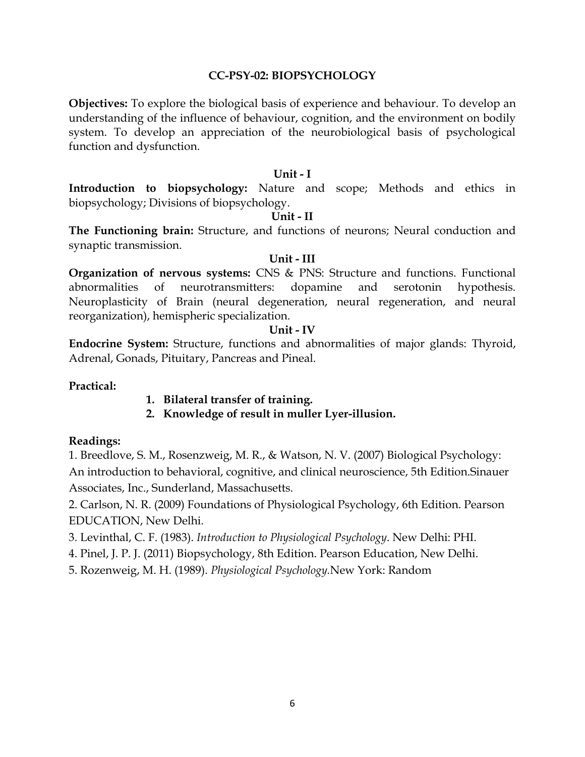#### **CC-PSY-02: BIOPSYCHOLOGY**

**Objectives:** To explore the biological basis of experience and behaviour. To develop an understanding of the influence of behaviour, cognition, and the environment on bodily system. To develop an appreciation of the neurobiological basis of psychological function and dysfunction.

#### **Unit - I**

**Introduction to biopsychology:** Nature and scope; Methods and ethics in biopsychology; Divisions of biopsychology.

#### **Unit - II**

**The Functioning brain:** Structure, and functions of neurons; Neural conduction and synaptic transmission.

#### **Unit - III**

**Organization of nervous systems:** CNS & PNS: Structure and functions. Functional abnormalities of neurotransmitters: dopamine and serotonin hypothesis. Neuroplasticity of Brain (neural degeneration, neural regeneration, and neural reorganization), hemispheric specialization.

#### **Unit - IV**

**Endocrine System:** Structure, functions and abnormalities of major glands: Thyroid, Adrenal, Gonads, Pituitary, Pancreas and Pineal.

#### **Practical:**

- **1. Bilateral transfer of training.**
- **2. Knowledge of result in muller Lyer-illusion.**

#### **Readings:**

1. Breedlove, S. M., Rosenzweig, M. R., & Watson, N. V. (2007) Biological Psychology: An introduction to behavioral, cognitive, and clinical neuroscience, 5th Edition.Sinauer Associates, Inc., Sunderland, Massachusetts.

2. Carlson, N. R. (2009) Foundations of Physiological Psychology, 6th Edition. Pearson EDUCATION, New Delhi.

3. Levinthal, C. F. (1983). *Introduction to Physiological Psychology*. New Delhi: PHI.

4. Pinel, J. P. J. (2011) Biopsychology, 8th Edition. Pearson Education, New Delhi.

5. Rozenweig, M. H. (1989). *Physiological Psychology.*New York: Random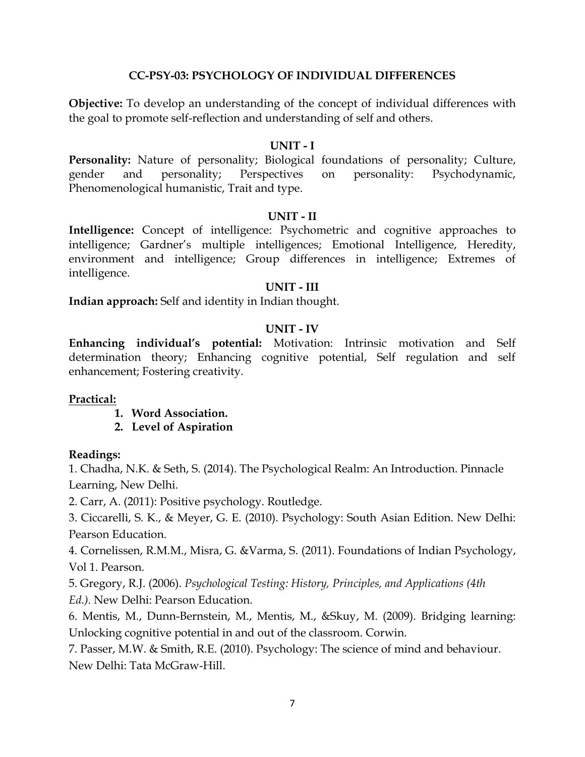#### **CC-PSY-03: PSYCHOLOGY OF INDIVIDUAL DIFFERENCES**

**Objective:** To develop an understanding of the concept of individual differences with the goal to promote self-reflection and understanding of self and others.

#### **UNIT - I**

Personality: Nature of personality; Biological foundations of personality; Culture, gender and personality; Perspectives on personality: Psychodynamic, Phenomenological humanistic, Trait and type.

#### **UNIT - II**

**Intelligence:** Concept of intelligence: Psychometric and cognitive approaches to intelligence; Gardner's multiple intelligences; Emotional Intelligence, Heredity, environment and intelligence; Group differences in intelligence; Extremes of intelligence.

#### **UNIT - III**

**Indian approach:** Self and identity in Indian thought.

#### **UNIT - IV**

**Enhancing individual's potential:** Motivation: Intrinsic motivation and Self determination theory; Enhancing cognitive potential, Self regulation and self enhancement; Fostering creativity.

#### **Practical:**

- **1. Word Association.**
- **2. Level of Aspiration**

#### **Readings:**

1. Chadha, N.K. & Seth, S. (2014). The Psychological Realm: An Introduction. Pinnacle Learning, New Delhi.

2. Carr, A. (2011): Positive psychology. Routledge.

3. Ciccarelli, S. K., & Meyer, G. E. (2010). Psychology: South Asian Edition. New Delhi: Pearson Education.

4. Cornelissen, R.M.M., Misra, G. &Varma, S. (2011). Foundations of Indian Psychology, Vol 1. Pearson.

5. Gregory, R.J. (2006). *Psychological Testing: History, Principles, and Applications (4th Ed.).* New Delhi: Pearson Education.

6. Mentis, M., Dunn-Bernstein, M., Mentis, M., &Skuy, M. (2009). Bridging learning: Unlocking cognitive potential in and out of the classroom. Corwin.

7. Passer, M.W. & Smith, R.E. (2010). Psychology: The science of mind and behaviour. New Delhi: Tata McGraw-Hill.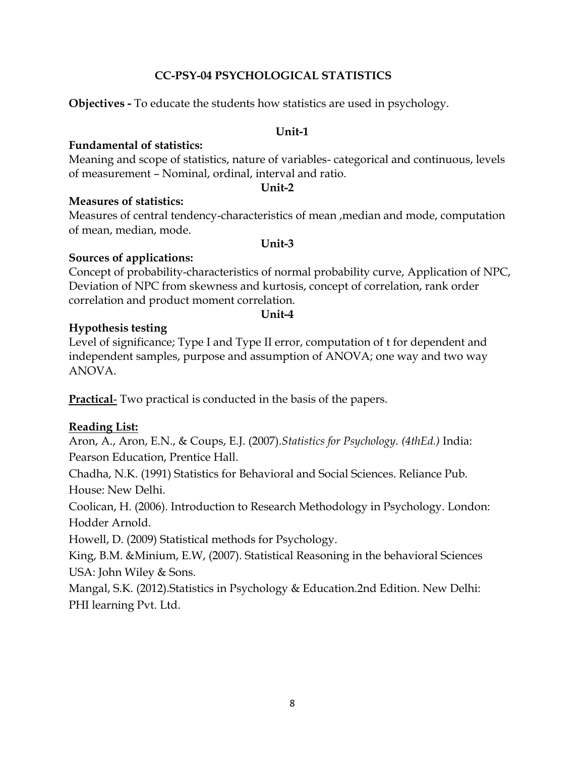## **CC-PSY-04 PSYCHOLOGICAL STATISTICS**

**Objectives -** To educate the students how statistics are used in psychology.

#### **Unit-1**

### **Fundamental of statistics:**

Meaning and scope of statistics, nature of variables- categorical and continuous, levels of measurement – Nominal, ordinal, interval and ratio.

#### *Unit-2*

**Measures of statistics:**

Measures of central tendency-characteristics of mean ,median and mode, computation of mean, median, mode.

#### **Unit-3**

## **Sources of applications:**

Concept of probability-characteristics of normal probability curve, Application of NPC, Deviation of NPC from skewness and kurtosis, concept of correlation, rank order correlation and product moment correlation.

### **Unit-4**

# **Hypothesis testing**

Level of significance; Type I and Type II error, computation of t for dependent and independent samples, purpose and assumption of ANOVA; one way and two way ANOVA.

**Practical**- Two practical is conducted in the basis of the papers.

# **Reading List:**

Aron, A., Aron, E.N., & Coups, E.J. (2007).*Statistics for Psychology. (4thEd.)* India: Pearson Education, Prentice Hall.

Chadha, N.K. (1991) Statistics for Behavioral and Social Sciences. Reliance Pub. House: New Delhi.

Coolican, H. (2006). Introduction to Research Methodology in Psychology. London: Hodder Arnold.

Howell, D. (2009) Statistical methods for Psychology.

King, B.M. &Minium, E.W, (2007). Statistical Reasoning in the behavioral Sciences USA: John Wiley & Sons.

Mangal, S.K. (2012).Statistics in Psychology & Education.2nd Edition. New Delhi: PHI learning Pvt. Ltd.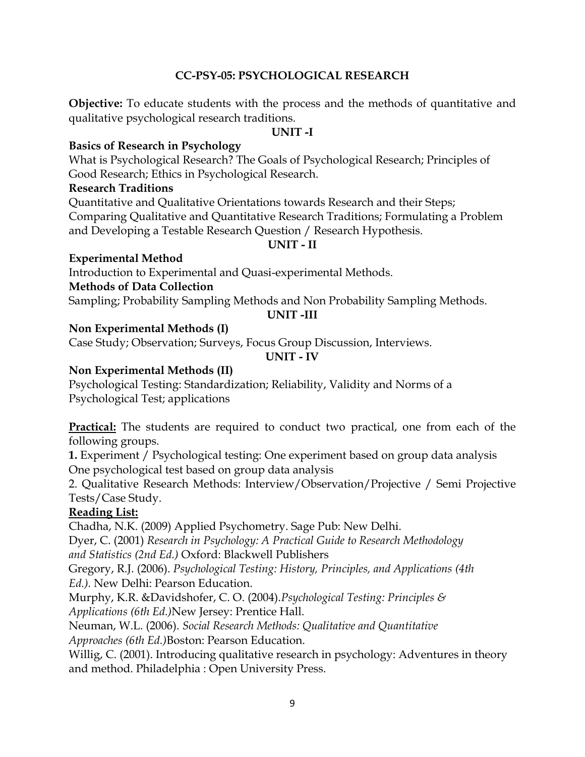## **CC-PSY-05: PSYCHOLOGICAL RESEARCH**

**Objective:** To educate students with the process and the methods of quantitative and qualitative psychological research traditions.

#### **UNIT -I**

## **Basics of Research in Psychology**

What is Psychological Research? The Goals of Psychological Research; Principles of Good Research; Ethics in Psychological Research.

#### **Research Traditions**

Quantitative and Qualitative Orientations towards Research and their Steps; Comparing Qualitative and Quantitative Research Traditions; Formulating a Problem and Developing a Testable Research Question / Research Hypothesis.

#### **UNIT - II**

### **Experimental Method**

Introduction to Experimental and Quasi-experimental Methods.

## **Methods of Data Collection**

Sampling; Probability Sampling Methods and Non Probability Sampling Methods.

#### **UNIT -III**

## **Non Experimental Methods (I)**

Case Study; Observation; Surveys, Focus Group Discussion, Interviews.

### **UNIT - IV**

# **Non Experimental Methods (II)**

Psychological Testing: Standardization; Reliability, Validity and Norms of a Psychological Test; applications

**Practical:** The students are required to conduct two practical, one from each of the following groups.

**1.** Experiment / Psychological testing: One experiment based on group data analysis One psychological test based on group data analysis

2. Qualitative Research Methods: Interview/Observation/Projective / Semi Projective Tests/Case Study.

## **Reading List:**

Chadha, N.K. (2009) Applied Psychometry. Sage Pub: New Delhi.

Dyer, C. (2001) *Research in Psychology: A Practical Guide to Research Methodology and Statistics (2nd Ed.)* Oxford: Blackwell Publishers

Gregory, R.J. (2006). *Psychological Testing: History, Principles, and Applications (4th Ed.).* New Delhi: Pearson Education.

Murphy, K.R. &Davidshofer, C. O. (2004).*Psychological Testing: Principles & Applications (6th Ed.)*New Jersey: Prentice Hall.

Neuman, W.L. (2006). *Social Research Methods: Qualitative and Quantitative Approaches (6th Ed.)*Boston: Pearson Education.

Willig, C. (2001). Introducing qualitative research in psychology: Adventures in theory and method. Philadelphia : Open University Press.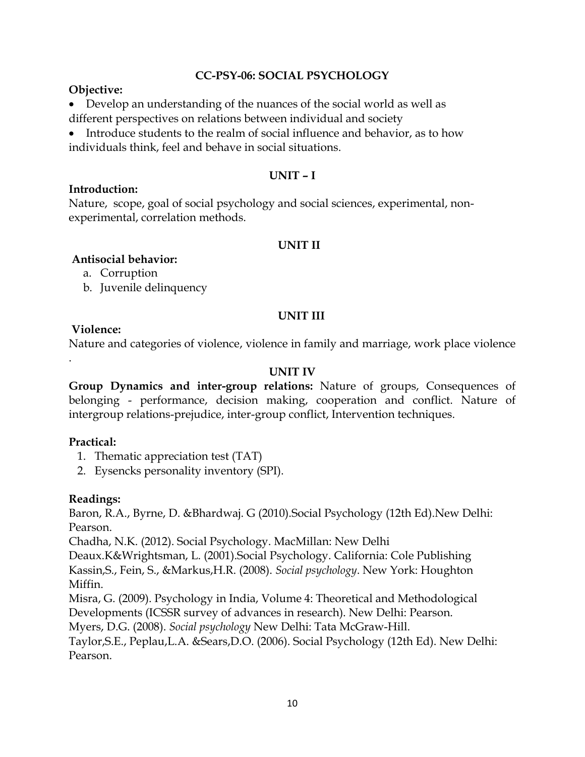## **CC-PSY-06: SOCIAL PSYCHOLOGY**

## **Objective:**

 Develop an understanding of the nuances of the social world as well as different perspectives on relations between individual and society

 Introduce students to the realm of social influence and behavior, as to how individuals think, feel and behave in social situations.

## **UNIT – I**

#### **Introduction:**

Nature, scope, goal of social psychology and social sciences, experimental, nonexperimental, correlation methods.

#### **UNIT II**

### **Antisocial behavior:**

a. Corruption

b. Juvenile delinquency

## **UNIT III**

## **Violence:**

.

Nature and categories of violence, violence in family and marriage, work place violence

## **UNIT IV**

**Group Dynamics and inter-group relations:** Nature of groups, Consequences of belonging - performance, decision making, cooperation and conflict. Nature of intergroup relations-prejudice, inter-group conflict, Intervention techniques.

#### **Practical:**

- 1. Thematic appreciation test (TAT)
- 2. Eysencks personality inventory (SPI).

## **Readings:**

Baron, R.A., Byrne, D. &Bhardwaj. G (2010).Social Psychology (12th Ed).New Delhi: Pearson.

Chadha, N.K. (2012). Social Psychology. MacMillan: New Delhi

Deaux.K&Wrightsman, L. (2001).Social Psychology. California: Cole Publishing Kassin,S., Fein, S., &Markus,H.R. (2008). *Social psychology*. New York: Houghton Miffin.

Misra, G. (2009). Psychology in India, Volume 4: Theoretical and Methodological Developments (ICSSR survey of advances in research). New Delhi: Pearson.

Myers, D.G. (2008). *Social psychology* New Delhi: Tata McGraw-Hill.

Taylor,S.E., Peplau,L.A. &Sears,D.O. (2006). Social Psychology (12th Ed). New Delhi: Pearson.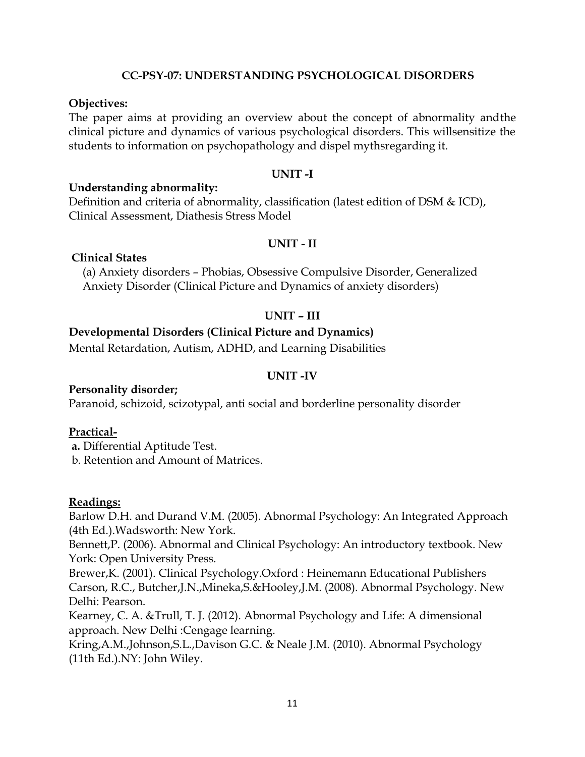#### **CC-PSY-07: UNDERSTANDING PSYCHOLOGICAL DISORDERS**

#### **Objectives:**

The paper aims at providing an overview about the concept of abnormality andthe clinical picture and dynamics of various psychological disorders. This willsensitize the students to information on psychopathology and dispel mythsregarding it.

#### **UNIT -I**

#### **Understanding abnormality:**

Definition and criteria of abnormality, classification (latest edition of DSM & ICD), Clinical Assessment, Diathesis Stress Model

#### **UNIT - II**

#### **Clinical States**

(a) Anxiety disorders – Phobias, Obsessive Compulsive Disorder, Generalized Anxiety Disorder (Clinical Picture and Dynamics of anxiety disorders)

#### **UNIT – III**

### **Developmental Disorders (Clinical Picture and Dynamics)**

Mental Retardation, Autism, ADHD, and Learning Disabilities

#### **UNIT -IV**

#### **Personality disorder;**

Paranoid, schizoid, scizotypal, anti social and borderline personality disorder

#### **Practical-**

**a.** Differential Aptitude Test.

b. Retention and Amount of Matrices.

#### **Readings:**

Barlow D.H. and Durand V.M. (2005). Abnormal Psychology: An Integrated Approach (4th Ed.).Wadsworth: New York.

Bennett,P. (2006). Abnormal and Clinical Psychology: An introductory textbook. New York: Open University Press.

Brewer,K. (2001). Clinical Psychology.Oxford : Heinemann Educational Publishers Carson, R.C., Butcher,J.N.,Mineka,S.&Hooley,J.M. (2008). Abnormal Psychology. New Delhi: Pearson.

Kearney, C. A. &Trull, T. J. (2012). Abnormal Psychology and Life: A dimensional approach. New Delhi :Cengage learning.

Kring,A.M.,Johnson,S.L.,Davison G.C. & Neale J.M. (2010). Abnormal Psychology (11th Ed.).NY: John Wiley.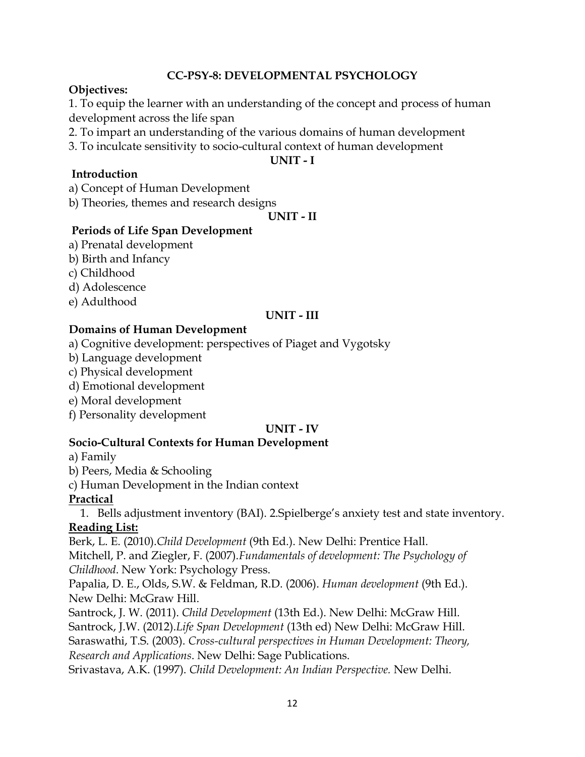## **CC-PSY-8: DEVELOPMENTAL PSYCHOLOGY**

## **Objectives:**

1. To equip the learner with an understanding of the concept and process of human development across the life span

2. To impart an understanding of the various domains of human development

3. To inculcate sensitivity to socio-cultural context of human development

**UNIT - I**

## **Introduction**

a) Concept of Human Development

b) Theories, themes and research designs

**UNIT - II**

## **Periods of Life Span Development**

- a) Prenatal development
- b) Birth and Infancy
- c) Childhood
- d) Adolescence
- e) Adulthood

## **UNIT - III**

# **Domains of Human Development**

- a) Cognitive development: perspectives of Piaget and Vygotsky
- b) Language development
- c) Physical development
- d) Emotional development
- e) Moral development
- f) Personality development

## **UNIT - IV**

## **Socio-Cultural Contexts for Human Development**

a) Family

b) Peers, Media & Schooling

c) Human Development in the Indian context

# **Practical**

1. Bells adjustment inventory (BAI). 2.Spielberge's anxiety test and state inventory. **Reading List:**

Berk, L. E. (2010).*Child Development* (9th Ed.). New Delhi: Prentice Hall. Mitchell, P. and Ziegler, F. (2007).*Fundamentals of development: The Psychology of Childhood*. New York: Psychology Press.

Papalia, D. E., Olds, S.W. & Feldman, R.D. (2006). *Human development* (9th Ed.). New Delhi: McGraw Hill.

Santrock, J. W. (2011). *Child Development* (13th Ed.). New Delhi: McGraw Hill. Santrock, J.W. (2012).*Life Span Development* (13th ed) New Delhi: McGraw Hill. Saraswathi, T.S. (2003). *Cross-cultural perspectives in Human Development: Theory, Research and Applications*. New Delhi: Sage Publications.

Srivastava, A.K. (1997). *Child Development: An Indian Perspective.* New Delhi.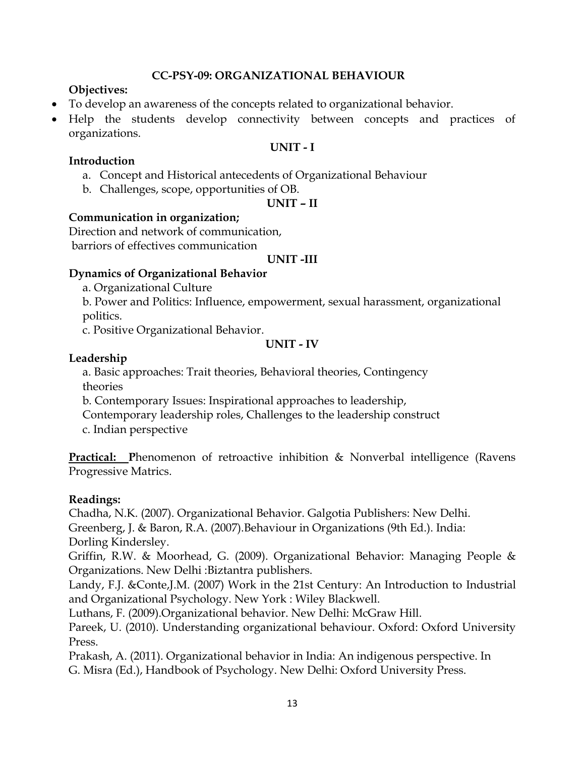### **CC-PSY-09: ORGANIZATIONAL BEHAVIOUR**

## **Objectives:**

- To develop an awareness of the concepts related to organizational behavior.
- Help the students develop connectivity between concepts and practices of organizations.

#### **UNIT - I**

#### **Introduction**

- a. Concept and Historical antecedents of Organizational Behaviour
- b. Challenges, scope, opportunities of OB.

### **UNIT – II**

### **Communication in organization;**

Direction and network of communication, barriors of effectives communication

#### **UNIT -III**

## **Dynamics of Organizational Behavior**

- a. Organizational Culture
- b. Power and Politics: Influence, empowerment, sexual harassment, organizational politics.
- c. Positive Organizational Behavior.

#### **UNIT - IV**

## **Leadership**

a. Basic approaches: Trait theories, Behavioral theories, Contingency theories

b. Contemporary Issues: Inspirational approaches to leadership,

Contemporary leadership roles, Challenges to the leadership construct

c. Indian perspective

**Practical:** Phenomenon of retroactive inhibition & Nonverbal intelligence (Ravens Progressive Matrics.

## **Readings:**

Chadha, N.K. (2007). Organizational Behavior. Galgotia Publishers: New Delhi. Greenberg, J. & Baron, R.A. (2007).Behaviour in Organizations (9th Ed.). India:

Dorling Kindersley. Griffin, R.W. & Moorhead, G. (2009). Organizational Behavior: Managing People &

Organizations. New Delhi :Biztantra publishers.

Landy, F.J. &Conte,J.M. (2007) Work in the 21st Century: An Introduction to Industrial and Organizational Psychology. New York : Wiley Blackwell.

Luthans, F. (2009).Organizational behavior. New Delhi: McGraw Hill.

Pareek, U. (2010). Understanding organizational behaviour. Oxford: Oxford University Press.

Prakash, A. (2011). Organizational behavior in India: An indigenous perspective. In G. Misra (Ed.), Handbook of Psychology. New Delhi: Oxford University Press.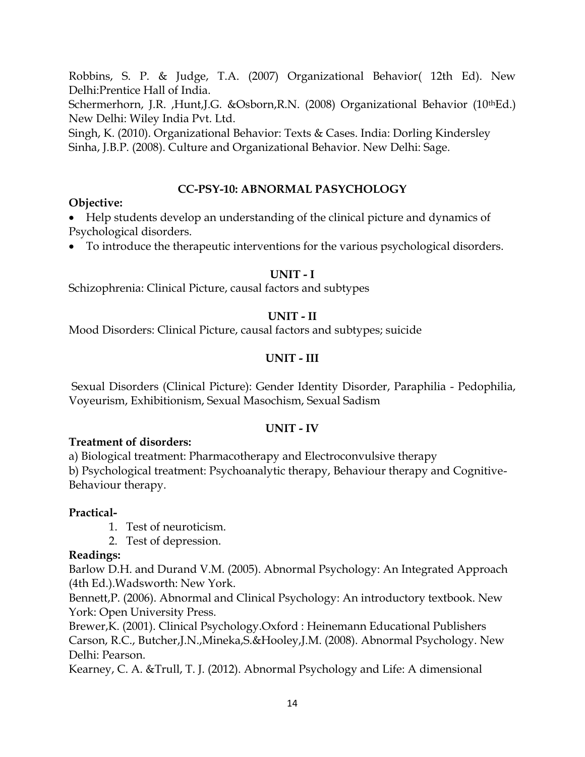Robbins, S. P. & Judge, T.A. (2007) Organizational Behavior( 12th Ed). New Delhi:Prentice Hall of India.

Schermerhorn, J.R. ,Hunt,J.G. &Osborn,R.N. (2008) Organizational Behavior (10<sup>th</sup>Ed.) New Delhi: Wiley India Pvt. Ltd.

Singh, K. (2010). Organizational Behavior: Texts & Cases. India: Dorling Kindersley Sinha, J.B.P. (2008). Culture and Organizational Behavior. New Delhi: Sage.

# **CC-PSY-10: ABNORMAL PASYCHOLOGY**

## **Objective:**

 Help students develop an understanding of the clinical picture and dynamics of Psychological disorders.

To introduce the therapeutic interventions for the various psychological disorders.

## **UNIT - I**

Schizophrenia: Clinical Picture, causal factors and subtypes

## **UNIT - II**

Mood Disorders: Clinical Picture, causal factors and subtypes; suicide

# **UNIT - III**

Sexual Disorders (Clinical Picture): Gender Identity Disorder, Paraphilia - Pedophilia, Voyeurism, Exhibitionism, Sexual Masochism, Sexual Sadism

## **UNIT - IV**

## **Treatment of disorders:**

a) Biological treatment: Pharmacotherapy and Electroconvulsive therapy b) Psychological treatment: Psychoanalytic therapy, Behaviour therapy and Cognitive-Behaviour therapy.

## **Practical-**

- 1. Test of neuroticism.
- 2. Test of depression.

## **Readings:**

Barlow D.H. and Durand V.M. (2005). Abnormal Psychology: An Integrated Approach (4th Ed.).Wadsworth: New York.

Bennett,P. (2006). Abnormal and Clinical Psychology: An introductory textbook. New York: Open University Press.

Brewer,K. (2001). Clinical Psychology.Oxford : Heinemann Educational Publishers Carson, R.C., Butcher,J.N.,Mineka,S.&Hooley,J.M. (2008). Abnormal Psychology. New Delhi: Pearson.

Kearney, C. A. &Trull, T. J. (2012). Abnormal Psychology and Life: A dimensional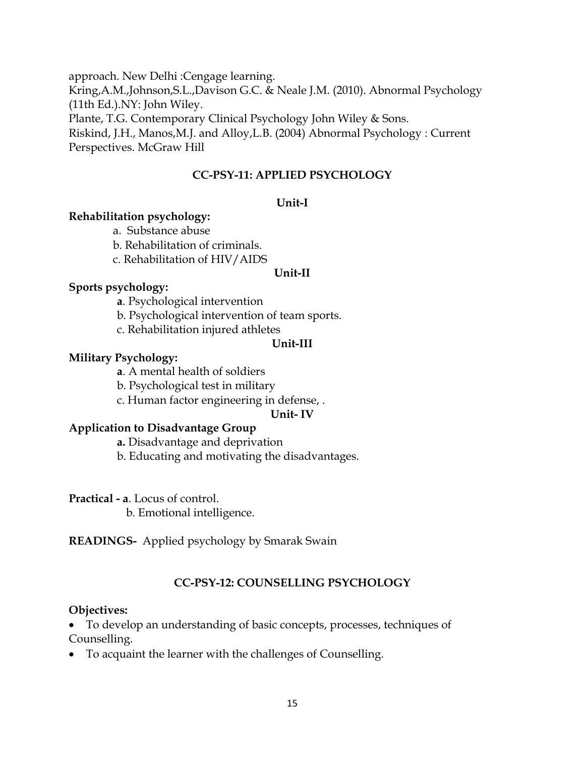approach. New Delhi :Cengage learning.

Kring,A.M.,Johnson,S.L.,Davison G.C. & Neale J.M. (2010). Abnormal Psychology (11th Ed.).NY: John Wiley.

Plante, T.G. Contemporary Clinical Psychology John Wiley & Sons.

Riskind, J.H., Manos,M.J. and Alloy,L.B. (2004) Abnormal Psychology : Current Perspectives. McGraw Hill

# **CC-PSY-11: APPLIED PSYCHOLOGY**

# **Unit-I**

## **Rehabilitation psychology:**

- a. Substance abuse
- b. Rehabilitation of criminals.
- c. Rehabilitation of HIV/AIDS

### **Unit-II**

# **Sports psychology:**

**a**. Psychological intervention

b. Psychological intervention of team sports.

c. Rehabilitation injured athletes

# **Unit-III**

# **Military Psychology:**

**a**. A mental health of soldiers

b. Psychological test in military

c. Human factor engineering in defense, .

## **Unit- IV**

# **Application to Disadvantage Group**

**a.** Disadvantage and deprivation

b. Educating and motivating the disadvantages.

**Practical - a**. Locus of control.

b. Emotional intelligence.

**READINGS-** Applied psychology by Smarak Swain

# **CC-PSY-12: COUNSELLING PSYCHOLOGY**

# **Objectives:**

 To develop an understanding of basic concepts, processes, techniques of Counselling.

To acquaint the learner with the challenges of Counselling.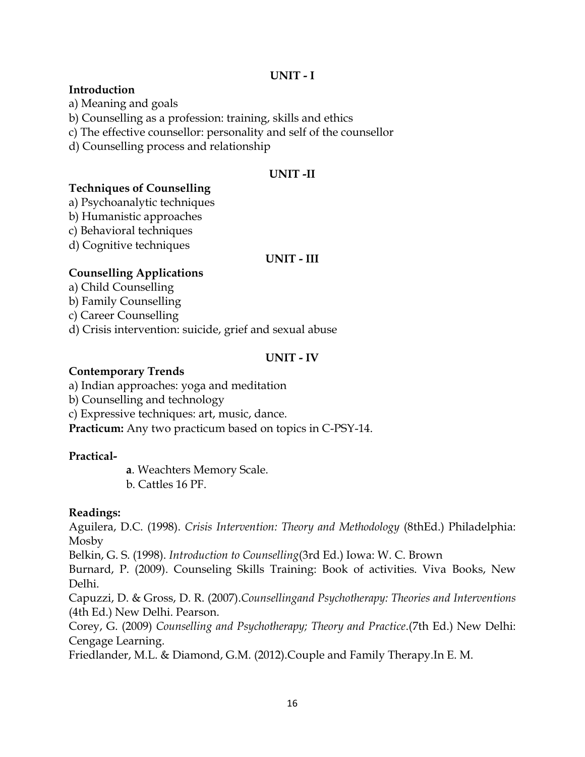### **UNIT - I**

#### **Introduction**

a) Meaning and goals

b) Counselling as a profession: training, skills and ethics

c) The effective counsellor: personality and self of the counsellor

d) Counselling process and relationship

## **UNIT -II**

## **Techniques of Counselling**

a) Psychoanalytic techniques

- b) Humanistic approaches
- c) Behavioral techniques
- d) Cognitive techniques

### **UNIT - III**

## **Counselling Applications**

a) Child Counselling

b) Family Counselling

c) Career Counselling

d) Crisis intervention: suicide, grief and sexual abuse

## **UNIT - IV**

## **Contemporary Trends**

a) Indian approaches: yoga and meditation

b) Counselling and technology

c) Expressive techniques: art, music, dance.

**Practicum:** Any two practicum based on topics in C-PSY-14.

## **Practical-**

**a**. Weachters Memory Scale.

b. Cattles 16 PF.

## **Readings:**

Aguilera, D.C. (1998). *Crisis Intervention: Theory and Methodology* (8thEd.) Philadelphia: Mosby

Belkin, G. S. (1998). *Introduction to Counselling*(3rd Ed.) Iowa: W. C. Brown

Burnard, P. (2009). Counseling Skills Training: Book of activities. Viva Books, New Delhi.

Capuzzi, D. & Gross, D. R. (2007).*Counsellingand Psychotherapy: Theories and Interventions*  (4th Ed.) New Delhi. Pearson.

Corey, G. (2009) *Counselling and Psychotherapy; Theory and Practice*.(7th Ed.) New Delhi: Cengage Learning.

Friedlander, M.L. & Diamond, G.M. (2012).Couple and Family Therapy.In E. M.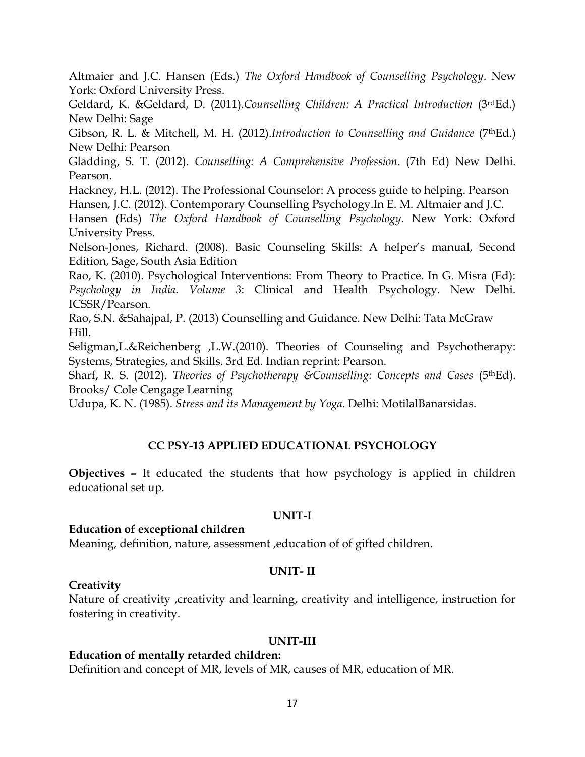Altmaier and J.C. Hansen (Eds.) *The Oxford Handbook of Counselling Psychology*. New York: Oxford University Press.

Geldard, K. &Geldard, D. (2011).*Counselling Children: A Practical Introduction* (3rdEd.) New Delhi: Sage

Gibson, R. L. & Mitchell, M. H. (2012).*Introduction to Counselling and Guidance* (7thEd.) New Delhi: Pearson

Gladding, S. T. (2012). *Counselling: A Comprehensive Profession*. (7th Ed) New Delhi. Pearson.

Hackney, H.L. (2012). The Professional Counselor: A process guide to helping. Pearson

Hansen, J.C. (2012). Contemporary Counselling Psychology.In E. M. Altmaier and J.C.

Hansen (Eds) *The Oxford Handbook of Counselling Psychology*. New York: Oxford University Press.

Nelson-Jones, Richard. (2008). Basic Counseling Skills: A helper's manual, Second Edition, Sage, South Asia Edition

Rao, K. (2010). Psychological Interventions: From Theory to Practice. In G. Misra (Ed): *Psychology in India*. *Volume 3*: Clinical and Health Psychology. New Delhi. ICSSR/Pearson.

Rao, S.N. &Sahajpal, P. (2013) Counselling and Guidance. New Delhi: Tata McGraw Hill.

Seligman,L.&Reichenberg ,L.W.(2010). Theories of Counseling and Psychotherapy: Systems, Strategies, and Skills. 3rd Ed. Indian reprint: Pearson.

Sharf, R. S. (2012). *Theories of Psychotherapy &Counselling: Concepts and Cases* (5thEd). Brooks/ Cole Cengage Learning

Udupa, K. N. (1985). *Stress and its Management by Yoga*. Delhi: MotilalBanarsidas.

# **CC PSY-13 APPLIED EDUCATIONAL PSYCHOLOGY**

**Objectives –** It educated the students that how psychology is applied in children educational set up.

#### **UNIT-I**

#### **Education of exceptional children**

Meaning, definition, nature, assessment ,education of of gifted children.

## **UNIT- II**

## **Creativity**

Nature of creativity ,creativity and learning, creativity and intelligence, instruction for fostering in creativity.

## **UNIT-III**

## **Education of mentally retarded children:**

Definition and concept of MR, levels of MR, causes of MR, education of MR.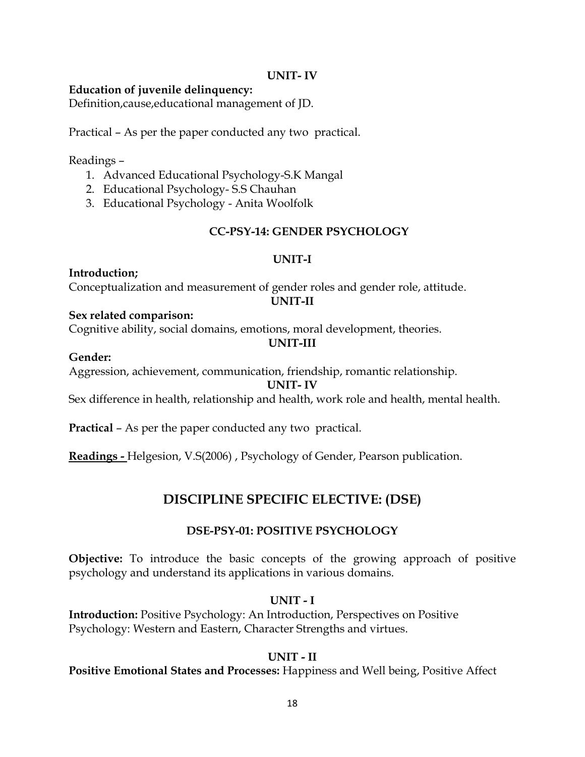#### **UNIT- IV**

#### **Education of juvenile delinquency:**

Definition,cause,educational management of JD.

Practical – As per the paper conducted any two practical.

Readings –

- 1. Advanced Educational Psychology-S.K Mangal
- 2. Educational Psychology- S.S Chauhan
- 3. Educational Psychology Anita Woolfolk

### **CC-PSY-14: GENDER PSYCHOLOGY**

#### **UNIT-I**

**Introduction;** Conceptualization and measurement of gender roles and gender role, attitude. **UNIT-II**

#### **Sex related comparison:**

Cognitive ability, social domains, emotions, moral development, theories.

## **UNIT-III**

#### **Gender:**

Aggression, achievement, communication, friendship, romantic relationship.

#### **UNIT- IV**

Sex difference in health, relationship and health, work role and health, mental health.

**Practical** – As per the paper conducted any two practical.

**Readings -** Helgesion, V.S(2006) , Psychology of Gender, Pearson publication.

# **DISCIPLINE SPECIFIC ELECTIVE: (DSE)**

#### **DSE-PSY-01: POSITIVE PSYCHOLOGY**

**Objective:** To introduce the basic concepts of the growing approach of positive psychology and understand its applications in various domains.

#### **UNIT - I**

**Introduction:** Positive Psychology: An Introduction, Perspectives on Positive Psychology: Western and Eastern, Character Strengths and virtues.

#### **UNIT - II**

#### **Positive Emotional States and Processes:** Happiness and Well being, Positive Affect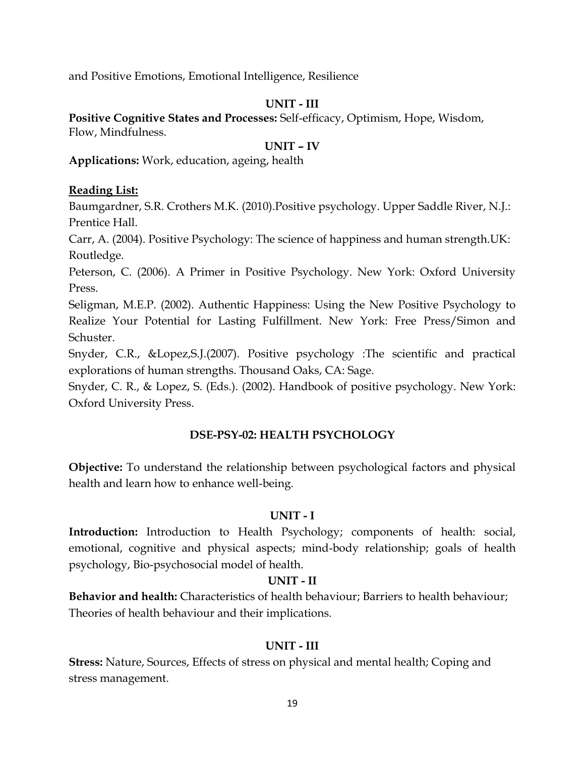and Positive Emotions, Emotional Intelligence, Resilience

## **UNIT - III**

**Positive Cognitive States and Processes:** Self-efficacy, Optimism, Hope, Wisdom, Flow, Mindfulness.

### **UNIT – IV**

**Applications:** Work, education, ageing, health

### **Reading List:**

Baumgardner, S.R. Crothers M.K. (2010).Positive psychology. Upper Saddle River, N.J.: Prentice Hall.

Carr, A. (2004). Positive Psychology: The science of happiness and human strength.UK: Routledge.

Peterson, C. (2006). A Primer in Positive Psychology. New York: Oxford University Press.

Seligman, M.E.P. (2002). Authentic Happiness: Using the New Positive Psychology to Realize Your Potential for Lasting Fulfillment. New York: Free Press/Simon and Schuster.

Snyder, C.R., &Lopez,S.J.(2007). Positive psychology :The scientific and practical explorations of human strengths. Thousand Oaks, CA: Sage.

Snyder, C. R., & Lopez, S. (Eds.). (2002). Handbook of positive psychology. New York: Oxford University Press.

## **DSE-PSY-02: HEALTH PSYCHOLOGY**

**Objective:** To understand the relationship between psychological factors and physical health and learn how to enhance well-being.

## **UNIT - I**

**Introduction:** Introduction to Health Psychology; components of health: social, emotional, cognitive and physical aspects; mind-body relationship; goals of health psychology, Bio-psychosocial model of health.

#### **UNIT - II**

**Behavior and health:** Characteristics of health behaviour; Barriers to health behaviour; Theories of health behaviour and their implications.

## **UNIT - III**

**Stress:** Nature, Sources, Effects of stress on physical and mental health; Coping and stress management.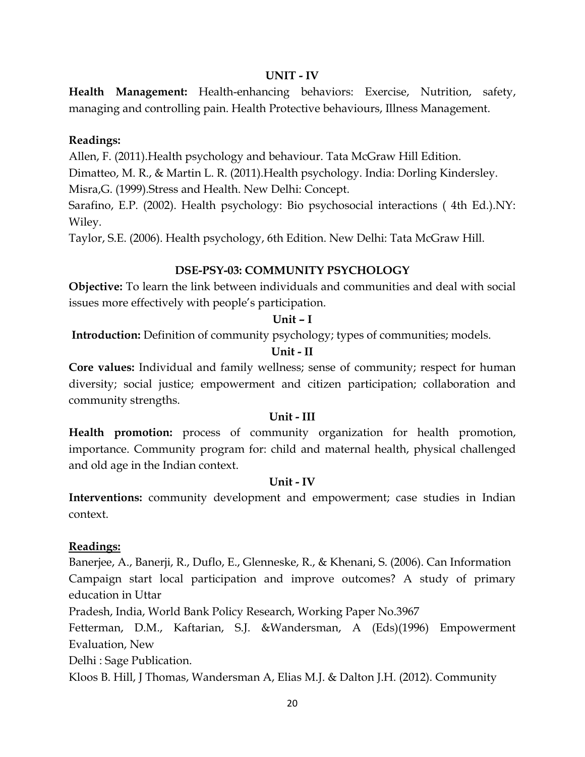#### **UNIT - IV**

**Health Management:** Health-enhancing behaviors: Exercise, Nutrition, safety, managing and controlling pain. Health Protective behaviours, Illness Management.

## **Readings:**

Allen, F. (2011).Health psychology and behaviour. Tata McGraw Hill Edition.

Dimatteo, M. R., & Martin L. R. (2011).Health psychology. India: Dorling Kindersley.

Misra,G. (1999).Stress and Health. New Delhi: Concept.

Sarafino, E.P. (2002). Health psychology: Bio psychosocial interactions ( 4th Ed.).NY: Wiley.

Taylor, S.E. (2006). Health psychology, 6th Edition. New Delhi: Tata McGraw Hill.

## **DSE-PSY-03: COMMUNITY PSYCHOLOGY**

**Objective:** To learn the link between individuals and communities and deal with social issues more effectively with people's participation.

### **Unit – I**

**Introduction:** Definition of community psychology; types of communities; models.

## **Unit - II**

**Core values:** Individual and family wellness; sense of community; respect for human diversity; social justice; empowerment and citizen participation; collaboration and community strengths.

#### **Unit - III**

**Health promotion:** process of community organization for health promotion, importance. Community program for: child and maternal health, physical challenged and old age in the Indian context.

#### **Unit - IV**

**Interventions:** community development and empowerment; case studies in Indian context.

#### **Readings:**

Banerjee, A., Banerji, R., Duflo, E., Glenneske, R., & Khenani, S. (2006). Can Information Campaign start local participation and improve outcomes? A study of primary education in Uttar

Pradesh, India, World Bank Policy Research, Working Paper No.3967

Fetterman, D.M., Kaftarian, S.J. &Wandersman, A (Eds)(1996) Empowerment Evaluation, New

Delhi : Sage Publication.

Kloos B. Hill, J Thomas, Wandersman A, Elias M.J. & Dalton J.H. (2012). Community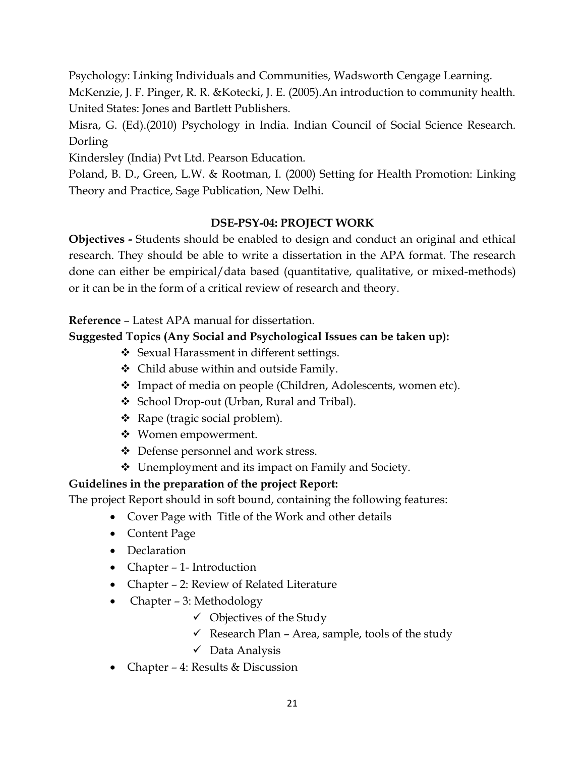Psychology: Linking Individuals and Communities, Wadsworth Cengage Learning. McKenzie, J. F. Pinger, R. R. &Kotecki, J. E. (2005).An introduction to community health. United States: Jones and Bartlett Publishers.

Misra, G. (Ed).(2010) Psychology in India. Indian Council of Social Science Research. Dorling

Kindersley (India) Pvt Ltd. Pearson Education.

Poland, B. D., Green, L.W. & Rootman, I. (2000) Setting for Health Promotion: Linking Theory and Practice, Sage Publication, New Delhi.

# **DSE-PSY-04: PROJECT WORK**

**Objectives -** Students should be enabled to design and conduct an original and ethical research. They should be able to write a dissertation in the APA format. The research done can either be empirical/data based (quantitative, qualitative, or mixed-methods) or it can be in the form of a critical review of research and theory.

# **Reference** – Latest APA manual for dissertation.

# **Suggested Topics (Any Social and Psychological Issues can be taken up):**

- ❖ Sexual Harassment in different settings.
- Child abuse within and outside Family.
- Impact of media on people (Children, Adolescents, women etc).
- ◆ School Drop-out (Urban, Rural and Tribal).
- Rape (tragic social problem).
- Women empowerment.
- Defense personnel and work stress.
- Unemployment and its impact on Family and Society.

# **Guidelines in the preparation of the project Report:**

The project Report should in soft bound, containing the following features:

- Cover Page with Title of the Work and other details
- Content Page
- Declaration
- Chapter 1- Introduction
- Chapter 2: Review of Related Literature
- Chapter 3: Methodology
	- $\checkmark$  Objectives of the Study
	- $\checkmark$  Research Plan Area, sample, tools of the study
	- $\checkmark$  Data Analysis
- Chapter 4: Results & Discussion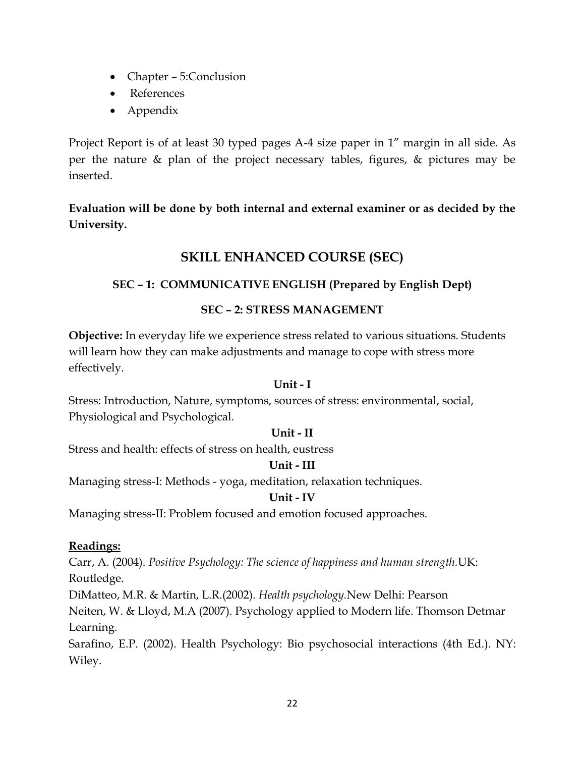- Chapter 5:Conclusion
- References
- Appendix

Project Report is of at least 30 typed pages A-4 size paper in 1" margin in all side. As per the nature & plan of the project necessary tables, figures, & pictures may be inserted.

**Evaluation will be done by both internal and external examiner or as decided by the University.**

# **SKILL ENHANCED COURSE (SEC)**

# **SEC – 1: COMMUNICATIVE ENGLISH (Prepared by English Dept)**

## **SEC – 2: STRESS MANAGEMENT**

**Objective:** In everyday life we experience stress related to various situations. Students will learn how they can make adjustments and manage to cope with stress more effectively.

#### **Unit - I**

Stress: Introduction, Nature, symptoms, sources of stress: environmental, social, Physiological and Psychological.

#### **Unit - II**

Stress and health: effects of stress on health, eustress

## **Unit - III**

Managing stress-I: Methods - yoga, meditation, relaxation techniques.

#### **Unit - IV**

Managing stress-II: Problem focused and emotion focused approaches.

#### **Readings:**

Carr, A. (2004). *Positive Psychology: The science of happiness and human strength.*UK: Routledge.

DiMatteo, M.R. & Martin, L.R.(2002). *Health psychology.*New Delhi: Pearson Neiten, W. & Lloyd, M.A (2007). Psychology applied to Modern life. Thomson Detmar Learning.

Sarafino, E.P. (2002). Health Psychology: Bio psychosocial interactions (4th Ed.). NY: Wiley.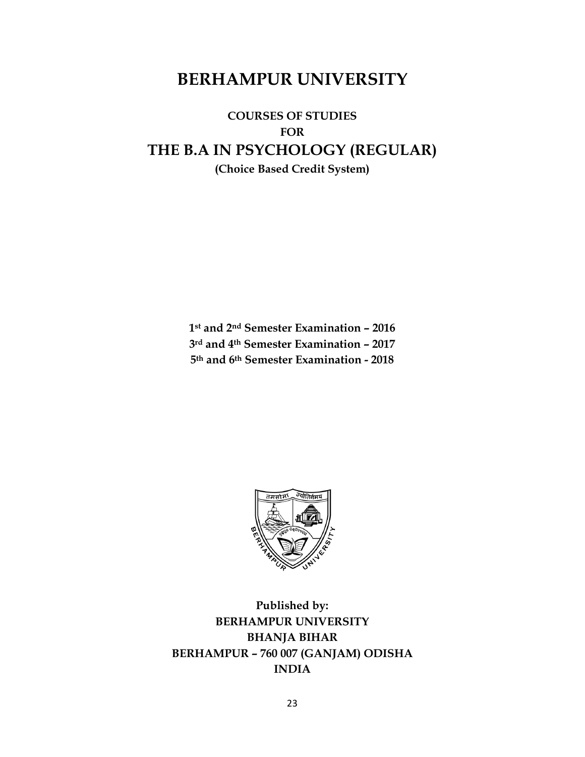# **BERHAMPUR UNIVERSITY**

**COURSES OF STUDIES FOR THE B.A IN PSYCHOLOGY (REGULAR) (Choice Based Credit System)**

> **1st and 2nd Semester Examination – 2016 3rd and 4th Semester Examination – 2017 5th and 6th Semester Examination - 2018**



**Published by: BERHAMPUR UNIVERSITY BHANJA BIHAR BERHAMPUR – 760 007 (GANJAM) ODISHA INDIA**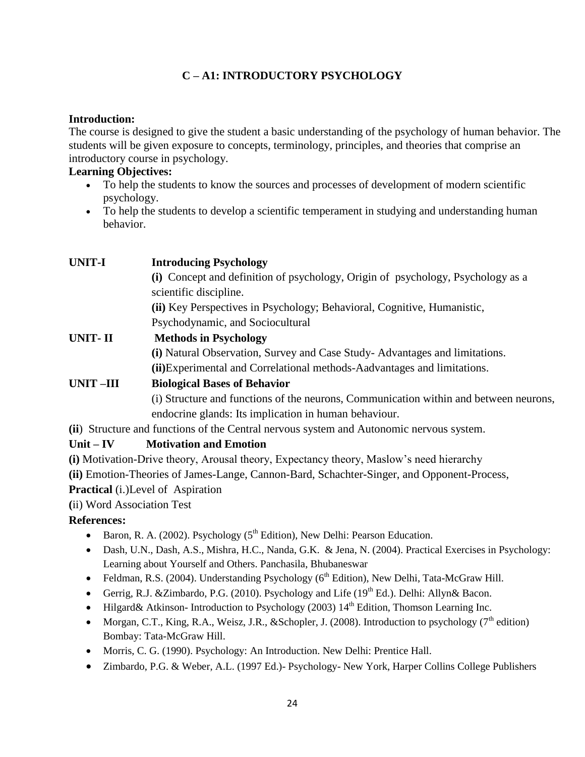# **C – A1: INTRODUCTORY PSYCHOLOGY**

#### **Introduction:**

The course is designed to give the student a basic understanding of the psychology of human behavior. The students will be given exposure to concepts, terminology, principles, and theories that comprise an introductory course in psychology.

### **Learning Objectives:**

- To help the students to know the sources and processes of development of modern scientific psychology.
- To help the students to develop a scientific temperament in studying and understanding human behavior.

| <b>UNIT-I</b> | <b>Introducing Psychology</b>                                                            |
|---------------|------------------------------------------------------------------------------------------|
|               | (i) Concept and definition of psychology, Origin of psychology, Psychology as a          |
|               | scientific discipline.                                                                   |
|               | (ii) Key Perspectives in Psychology; Behavioral, Cognitive, Humanistic,                  |
|               | Psychodynamic, and Sociocultural                                                         |
| UNIT- II      | <b>Methods in Psychology</b>                                                             |
|               | (i) Natural Observation, Survey and Case Study-Advantages and limitations.               |
|               | (ii) Experimental and Correlational methods-Aadvantages and limitations.                 |
| UNIT-III      | <b>Biological Bases of Behavior</b>                                                      |
|               | (i) Structure and functions of the neurons, Communication within and between neurons,    |
|               | endocrine glands: Its implication in human behaviour.                                    |
|               | (ii) Structure and functions of the Central nervous system and Autonomic nervous system. |
| $Unit - IV$   | <b>Motivation and Emotion</b>                                                            |
|               |                                                                                          |

**(i)** Motivation-Drive theory, Arousal theory, Expectancy theory, Maslow's need hierarchy

**(ii)** Emotion-Theories of James-Lange, Cannon-Bard, Schachter-Singer, and Opponent-Process,

**Practical** (i.)Level of Aspiration

**(**ii) Word Association Test

#### **References:**

- Baron, R. A. (2002). Psychology ( $5<sup>th</sup>$  Edition), New Delhi: Pearson Education.
- Dash, U.N., Dash, A.S., Mishra, H.C., Nanda, G.K. & Jena, N. (2004). Practical Exercises in Psychology: Learning about Yourself and Others. Panchasila, Bhubaneswar
- Feldman, R.S. (2004). Understanding Psychology ( $6<sup>th</sup>$  Edition), New Delhi, Tata-McGraw Hill.
- Gerrig, R.J. &Zimbardo, P.G. (2010). Psychology and Life ( $19<sup>th</sup>$  Ed.). Delhi: Allyn& Bacon.
- Hilgard& Atkinson-Introduction to Psychology (2003)  $14<sup>th</sup>$  Edition, Thomson Learning Inc.
- Morgan, C.T., King, R.A., Weisz, J.R., &Schopler, J. (2008). Introduction to psychology ( $7<sup>th</sup>$  edition) Bombay: Tata-McGraw Hill.
- Morris, C. G. (1990). Psychology: An Introduction. New Delhi: Prentice Hall.
- Zimbardo, P.G. & Weber, A.L. (1997 Ed.)- Psychology- New York, Harper Collins College Publishers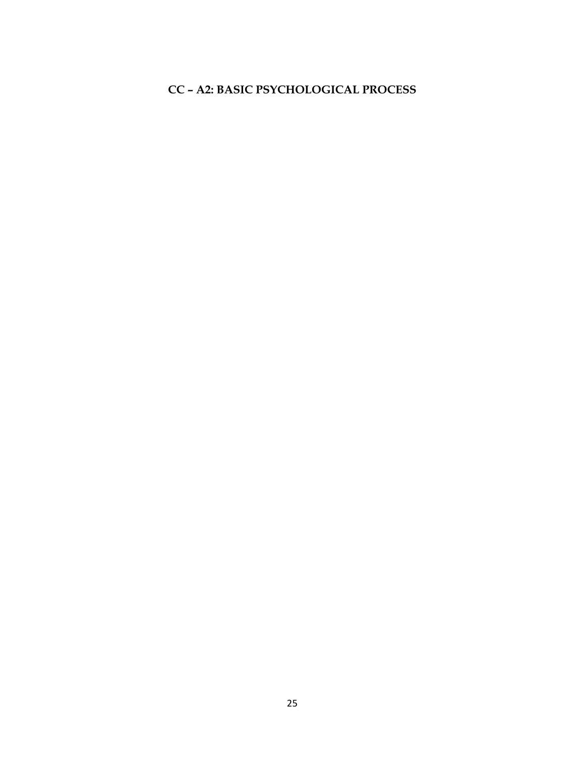# **CC – A2: BASIC PSYCHOLOGICAL PROCESS**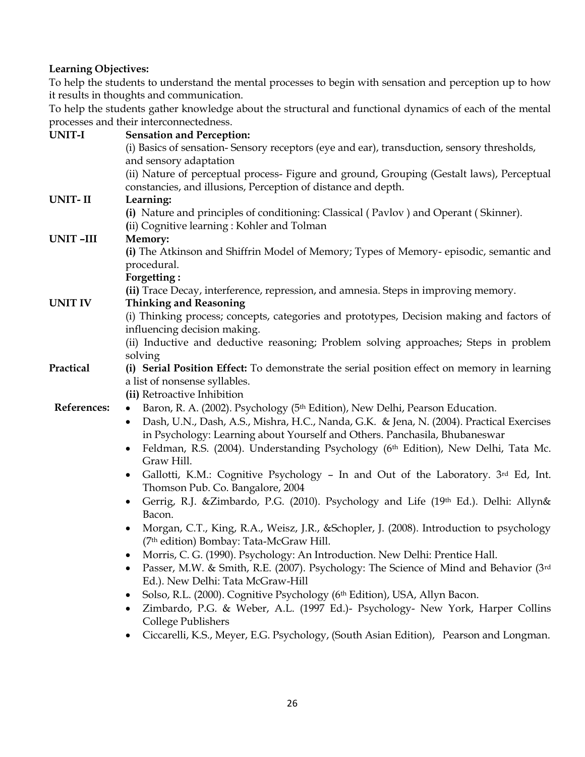#### **Learning Objectives:**

 To help the students to understand the mental processes to begin with sensation and perception up to how it results in thoughts and communication.

 To help the students gather knowledge about the structural and functional dynamics of each of the mental processes and their interconnectedness.

| UNIT-I         | <b>Sensation and Perception:</b>                                                                      |
|----------------|-------------------------------------------------------------------------------------------------------|
|                | (i) Basics of sensation- Sensory receptors (eye and ear), transduction, sensory thresholds,           |
|                | and sensory adaptation                                                                                |
|                | (ii) Nature of perceptual process- Figure and ground, Grouping (Gestalt laws), Perceptual             |
|                | constancies, and illusions, Perception of distance and depth.                                         |
| <b>UNIT-II</b> | Learning:                                                                                             |
|                | (i) Nature and principles of conditioning: Classical (Pavlov) and Operant (Skinner).                  |
|                | (ii) Cognitive learning: Kohler and Tolman                                                            |
| UNIT-III       | Memory:                                                                                               |
|                | (i) The Atkinson and Shiffrin Model of Memory; Types of Memory-episodic, semantic and                 |
|                | procedural.                                                                                           |
|                | Forgetting:                                                                                           |
|                | (ii) Trace Decay, interference, repression, and amnesia. Steps in improving memory.                   |
| <b>UNIT IV</b> | <b>Thinking and Reasoning</b>                                                                         |
|                | (i) Thinking process; concepts, categories and prototypes, Decision making and factors of             |
|                | influencing decision making.                                                                          |
|                | (ii) Inductive and deductive reasoning; Problem solving approaches; Steps in problem                  |
|                | solving                                                                                               |
| Practical      | (i) Serial Position Effect: To demonstrate the serial position effect on memory in learning           |
|                | a list of nonsense syllables.                                                                         |
|                | (ii) Retroactive Inhibition                                                                           |
| References:    | Baron, R. A. (2002). Psychology (5 <sup>th</sup> Edition), New Delhi, Pearson Education.<br>$\bullet$ |
|                | Dash, U.N., Dash, A.S., Mishra, H.C., Nanda, G.K. & Jena, N. (2004). Practical Exercises<br>$\bullet$ |
|                | in Psychology: Learning about Yourself and Others. Panchasila, Bhubaneswar                            |
|                | Feldman, R.S. (2004). Understanding Psychology (6th Edition), New Delhi, Tata Mc.<br>$\bullet$        |
|                | Graw Hill.                                                                                            |
|                | Gallotti, K.M.: Cognitive Psychology - In and Out of the Laboratory. 3rd Ed, Int.<br>$\bullet$        |
|                | Thomson Pub. Co. Bangalore, 2004                                                                      |
|                | Gerrig, R.J. &Zimbardo, P.G. (2010). Psychology and Life (19th Ed.). Delhi: Allyn&                    |
|                | Bacon.                                                                                                |
|                | Morgan, C.T., King, R.A., Weisz, J.R., & Schopler, J. (2008). Introduction to psychology<br>$\bullet$ |
|                | (7th edition) Bombay: Tata-McGraw Hill.                                                               |
|                | Morris, C. G. (1990). Psychology: An Introduction. New Delhi: Prentice Hall.                          |
|                | Passer, M.W. & Smith, R.E. (2007). Psychology: The Science of Mind and Behavior (3rd<br>٠             |
|                | Ed.). New Delhi: Tata McGraw-Hill                                                                     |
|                | Solso, R.L. (2000). Cognitive Psychology (6th Edition), USA, Allyn Bacon.<br>٠                        |
|                | Zimbardo, P.G. & Weber, A.L. (1997 Ed.)- Psychology- New York, Harper Collins<br>٠                    |
|                | College Publishers                                                                                    |
|                | Ciccarelli, K.S., Meyer, E.G. Psychology, (South Asian Edition), Pearson and Longman.<br>٠            |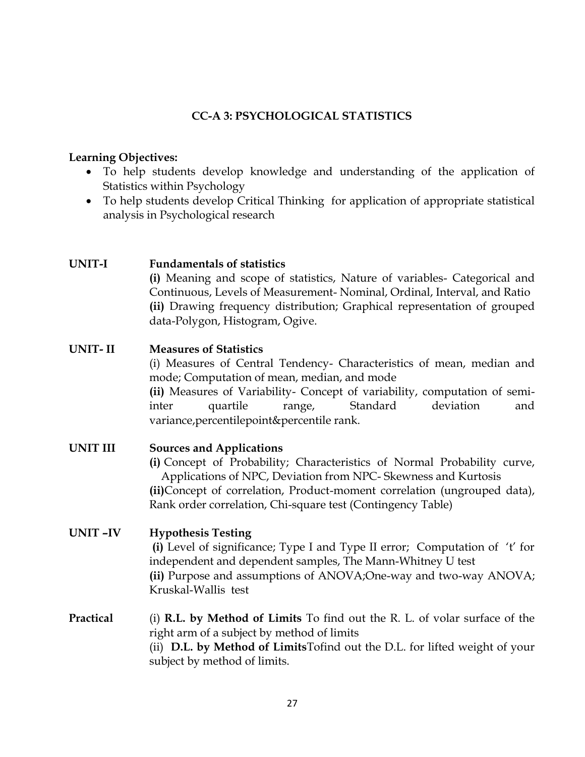## **CC-A 3: PSYCHOLOGICAL STATISTICS**

#### **Learning Objectives:**

- To help students develop knowledge and understanding of the application of Statistics within Psychology
- To help students develop Critical Thinking for application of appropriate statistical analysis in Psychological research

#### **UNIT-I Fundamentals of statistics**

**(i)** Meaning and scope of statistics, Nature of variables- Categorical and Continuous, Levels of Measurement- Nominal, Ordinal, Interval, and Ratio **(ii)** Drawing frequency distribution; Graphical representation of grouped data-Polygon, Histogram, Ogive.

### **UNIT- II Measures of Statistics**

(i) Measures of Central Tendency- Characteristics of mean, median and mode; Computation of mean, median, and mode

**(ii)** Measures of Variability- Concept of variability, computation of semiinter quartile range, Standard deviation and variance,percentilepoint&percentile rank.

#### **UNIT III Sources and Applications**

**(i)** Concept of Probability; Characteristics of Normal Probability curve, Applications of NPC, Deviation from NPC- Skewness and Kurtosis **(ii)**Concept of correlation, Product-moment correlation (ungrouped data), Rank order correlation, Chi-square test (Contingency Table)

## **UNIT –IV Hypothesis Testing**

**(i)** Level of significance; Type I and Type II error; Computation of 't' for independent and dependent samples, The Mann-Whitney U test **(ii)** Purpose and assumptions of ANOVA;One-way and two-way ANOVA; Kruskal-Wallis test

## **Practical** (i) **R.L. by Method of Limits** To find out the R. L. of volar surface of the right arm of a subject by method of limits (ii) **D.L. by Method of Limits**Tofind out the D.L. for lifted weight of your subject by method of limits.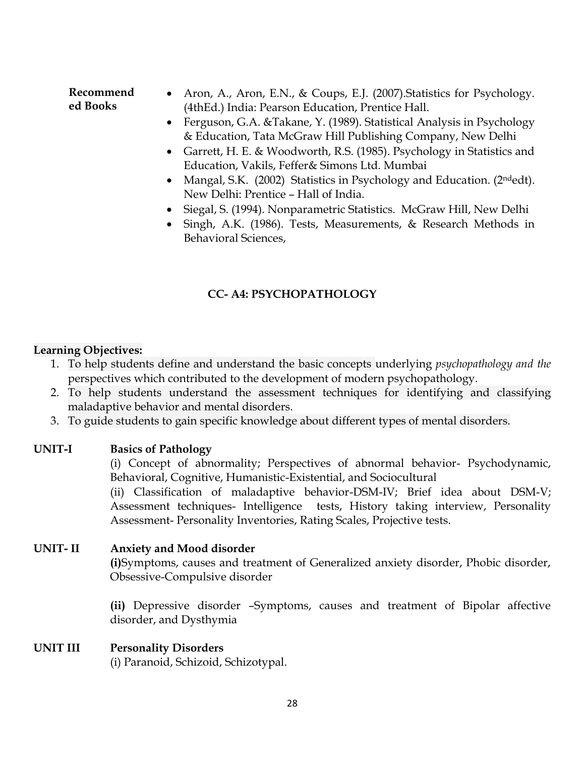**Recommend ed Books** • Aron, A., Aron, E.N., & Coups, E.J. (2007). Statistics for Psychology. (4thEd.) India: Pearson Education, Prentice Hall.

- Ferguson, G.A. &Takane, Y. (1989). Statistical Analysis in Psychology & Education, Tata McGraw Hill Publishing Company, New Delhi
- Garrett, H. E. & Woodworth, R.S. (1985). Psychology in Statistics and Education, Vakils, Feffer& Simons Ltd. Mumbai
- Mangal, S.K. (2002) Statistics in Psychology and Education. (2ndedt). New Delhi: Prentice – Hall of India.
- Siegal, S. (1994). Nonparametric Statistics. McGraw Hill, New Delhi
- Singh, A.K. (1986). Tests, Measurements, & Research Methods in Behavioral Sciences,

# **CC- A4: PSYCHOPATHOLOGY**

### **Learning Objectives:**

- 1. To help students define and understand the basic concepts underlying *psychopathology and the*  perspectives which contributed to the development of modern psychopathology.
- 2. To help students understand the assessment techniques for identifying and classifying maladaptive behavior and mental disorders.
- 3. To guide students to gain specific knowledge about different types of mental disorders.

## **UNIT-I Basics of Pathology**

(i) Concept of abnormality; Perspectives of abnormal behavior- Psychodynamic, Behavioral, Cognitive, Humanistic-Existential, and Sociocultural

(ii) Classification of maladaptive behavior-DSM-IV; Brief idea about DSM-V; Assessment techniques- Intelligence tests, History taking interview, Personality Assessment- Personality Inventories, Rating Scales, Projective tests.

## **UNIT- II Anxiety and Mood disorder**

**(i)**Symptoms, causes and treatment of Generalized anxiety disorder, Phobic disorder, Obsessive-Compulsive disorder

**(ii)** Depressive disorder –Symptoms, causes and treatment of Bipolar affective disorder, and Dysthymia

## **UNIT III Personality Disorders**

(i) Paranoid, Schizoid, Schizotypal.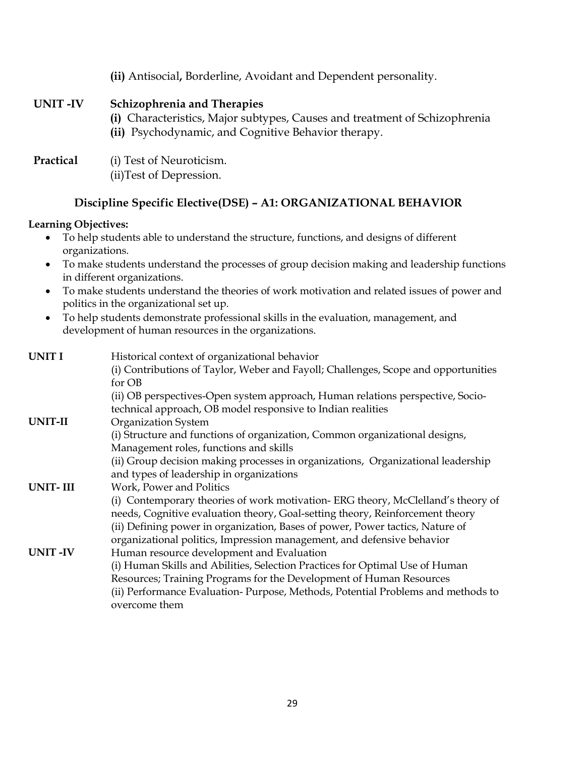|           | (ii) Antisocial, Borderline, Avoidant and Dependent personality.                                                                                                        |
|-----------|-------------------------------------------------------------------------------------------------------------------------------------------------------------------------|
| UNIT-IV   | <b>Schizophrenia and Therapies</b><br>(i) Characteristics, Major subtypes, Causes and treatment of Schizophrenia<br>(ii) Psychodynamic, and Cognitive Behavior therapy. |
| Practical | (i) Test of Neuroticism.<br>(ii) Test of Depression.                                                                                                                    |

### **Discipline Specific Elective(DSE) – A1: ORGANIZATIONAL BEHAVIOR**

#### **Learning Objectives:**

- To help students able to understand the structure, functions, and designs of different organizations.
- To make students understand the processes of group decision making and leadership functions in different organizations.
- To make students understand the theories of work motivation and related issues of power and politics in the organizational set up.
- To help students demonstrate professional skills in the evaluation, management, and development of human resources in the organizations.

| <b>UNIT I</b>  | Historical context of organizational behavior                                      |
|----------------|------------------------------------------------------------------------------------|
|                | (i) Contributions of Taylor, Weber and Fayoll; Challenges, Scope and opportunities |
|                | for OB                                                                             |
|                | (ii) OB perspectives-Open system approach, Human relations perspective, Socio-     |
|                | technical approach, OB model responsive to Indian realities                        |
| UNIT-II        | Organization System                                                                |
|                | (i) Structure and functions of organization, Common organizational designs,        |
|                | Management roles, functions and skills                                             |
|                | (ii) Group decision making processes in organizations, Organizational leadership   |
|                | and types of leadership in organizations                                           |
| UNIT-III       | Work, Power and Politics                                                           |
|                | (i) Contemporary theories of work motivation-ERG theory, McClelland's theory of    |
|                | needs, Cognitive evaluation theory, Goal-setting theory, Reinforcement theory      |
|                | (ii) Defining power in organization, Bases of power, Power tactics, Nature of      |
|                | organizational politics, Impression management, and defensive behavior             |
| <b>UNIT-IV</b> | Human resource development and Evaluation                                          |
|                | (i) Human Skills and Abilities, Selection Practices for Optimal Use of Human       |
|                | Resources; Training Programs for the Development of Human Resources                |
|                | (ii) Performance Evaluation-Purpose, Methods, Potential Problems and methods to    |
|                | overcome them                                                                      |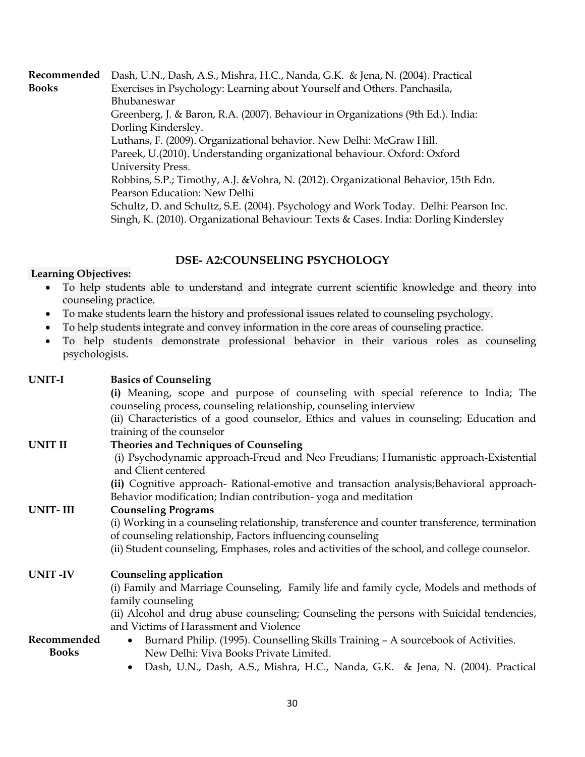**Recommended**  Dash, U.N., Dash, A.S., Mishra, H.C., Nanda, G.K. & Jena, N. (2004). Practical **Books** Exercises in Psychology: Learning about Yourself and Others. Panchasila, Bhubaneswar Greenberg, J. & Baron, R.A. (2007). Behaviour in Organizations (9th Ed.). India: Dorling Kindersley. Luthans, F. (2009). Organizational behavior. New Delhi: McGraw Hill. Pareek, U.(2010). Understanding organizational behaviour. Oxford: Oxford University Press. Robbins, S.P.; Timothy, A.J. &Vohra, N. (2012). Organizational Behavior, 15th Edn. Pearson Education: New Delhi Schultz, D. and Schultz, S.E. (2004). Psychology and Work Today. Delhi: Pearson Inc. Singh, K. (2010). Organizational Behaviour: Texts & Cases. India: Dorling Kindersley

#### **DSE- A2:COUNSELING PSYCHOLOGY**

#### **Learning Objectives:**

- To help students able to understand and integrate current scientific knowledge and theory into counseling practice.
- To make students learn the history and professional issues related to counseling psychology.
- To help students integrate and convey information in the core areas of counseling practice.
- To help students demonstrate professional behavior in their various roles as counseling psychologists.

| UNIT-I                      | <b>Basics of Counseling</b>                                                                                                                                |
|-----------------------------|------------------------------------------------------------------------------------------------------------------------------------------------------------|
|                             | (i) Meaning, scope and purpose of counseling with special reference to India; The                                                                          |
|                             | counseling process, counseling relationship, counseling interview                                                                                          |
|                             | (ii) Characteristics of a good counselor, Ethics and values in counseling; Education and                                                                   |
|                             | training of the counselor                                                                                                                                  |
| <b>UNIT II</b>              | <b>Theories and Techniques of Counseling</b>                                                                                                               |
|                             | (i) Psychodynamic approach-Freud and Neo Freudians; Humanistic approach-Existential<br>and Client centered                                                 |
|                             | (ii) Cognitive approach- Rational-emotive and transaction analysis; Behavioral approach-<br>Behavior modification; Indian contribution-yoga and meditation |
| <b>UNIT-III</b>             | <b>Counseling Programs</b>                                                                                                                                 |
|                             | (i) Working in a counseling relationship, transference and counter transference, termination<br>of counseling relationship, Factors influencing counseling |
|                             | (ii) Student counseling, Emphases, roles and activities of the school, and college counselor.                                                              |
| <b>UNIT-IV</b>              | Counseling application                                                                                                                                     |
|                             | (i) Family and Marriage Counseling, Family life and family cycle, Models and methods of<br>family counseling                                               |
|                             | (ii) Alcohol and drug abuse counseling; Counseling the persons with Suicidal tendencies,<br>and Victims of Harassment and Violence                         |
| Recommended<br><b>Books</b> | Burnard Philip. (1995). Counselling Skills Training - A sourcebook of Activities.<br>$\bullet$<br>New Delhi: Viva Books Private Limited.                   |
|                             | Dash, U.N., Dash, A.S., Mishra, H.C., Nanda, G.K. & Jena, N. (2004). Practical                                                                             |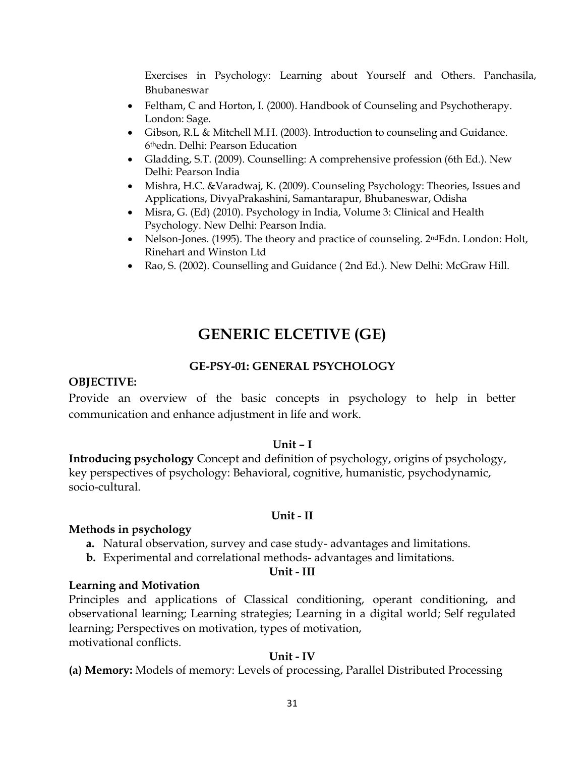Exercises in Psychology: Learning about Yourself and Others. Panchasila, Bhubaneswar

- Feltham, C and Horton, I. (2000). Handbook of Counseling and Psychotherapy. London: Sage.
- Gibson, R.L & Mitchell M.H. (2003). Introduction to counseling and Guidance. 6thedn. Delhi: Pearson Education
- Gladding, S.T. (2009). Counselling: A comprehensive profession (6th Ed.). New Delhi: Pearson India
- Mishra, H.C. &Varadwaj, K. (2009). Counseling Psychology: Theories, Issues and Applications, DivyaPrakashini, Samantarapur, Bhubaneswar, Odisha
- Misra, G. (Ed) (2010). Psychology in India, Volume 3: Clinical and Health Psychology. New Delhi: Pearson India.
- Nelson-Jones. (1995). The theory and practice of counseling. 2<sup>nd</sup>Edn. London: Holt, Rinehart and Winston Ltd
- Rao, S. (2002). Counselling and Guidance ( 2nd Ed.). New Delhi: McGraw Hill.

# **GENERIC ELCETIVE (GE)**

# **GE-PSY-01: GENERAL PSYCHOLOGY**

## **OBJECTIVE:**

Provide an overview of the basic concepts in psychology to help in better communication and enhance adjustment in life and work.

## **Unit – I**

**Introducing psychology** Concept and definition of psychology, origins of psychology, key perspectives of psychology: Behavioral, cognitive, humanistic, psychodynamic, socio-cultural.

#### **Unit - II**

#### **Methods in psychology**

- **a.** Natural observation, survey and case study- advantages and limitations.
- **b.** Experimental and correlational methods- advantages and limitations.

#### **Unit - III**

#### **Learning and Motivation**

Principles and applications of Classical conditioning, operant conditioning, and observational learning; Learning strategies; Learning in a digital world; Self regulated learning; Perspectives on motivation, types of motivation, motivational conflicts.

## **Unit - IV**

**(a) Memory:** Models of memory: Levels of processing, Parallel Distributed Processing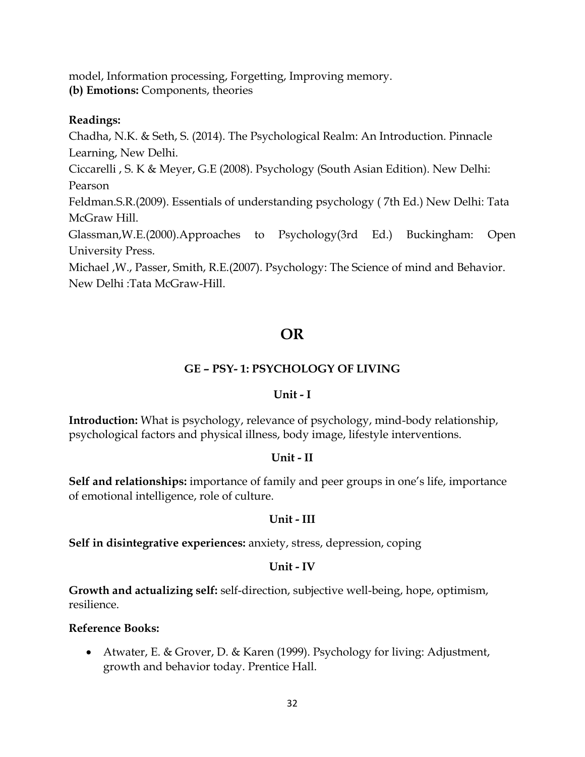model, Information processing, Forgetting, Improving memory. **(b) Emotions:** Components, theories

## **Readings:**

Chadha, N.K. & Seth, S. (2014). The Psychological Realm: An Introduction. Pinnacle Learning, New Delhi.

Ciccarelli , S. K & Meyer, G.E (2008). Psychology (South Asian Edition). New Delhi: Pearson

Feldman.S.R.(2009). Essentials of understanding psychology ( 7th Ed.) New Delhi: Tata McGraw Hill.

Glassman,W.E.(2000).Approaches to Psychology(3rd Ed.) Buckingham: Open University Press.

Michael ,W., Passer, Smith, R.E.(2007). Psychology: The Science of mind and Behavior. New Delhi :Tata McGraw-Hill.

# **OR**

# **GE – PSY- 1: PSYCHOLOGY OF LIVING**

## **Unit - I**

**Introduction:** What is psychology, relevance of psychology, mind-body relationship, psychological factors and physical illness, body image, lifestyle interventions.

## **Unit - II**

**Self and relationships:** importance of family and peer groups in one's life, importance of emotional intelligence, role of culture.

## **Unit - III**

**Self in disintegrative experiences:** anxiety, stress, depression, coping

## **Unit - IV**

**Growth and actualizing self:** self-direction, subjective well-being, hope, optimism, resilience.

## **Reference Books:**

• Atwater, E. & Grover, D. & Karen (1999). Psychology for living: Adjustment, growth and behavior today. Prentice Hall.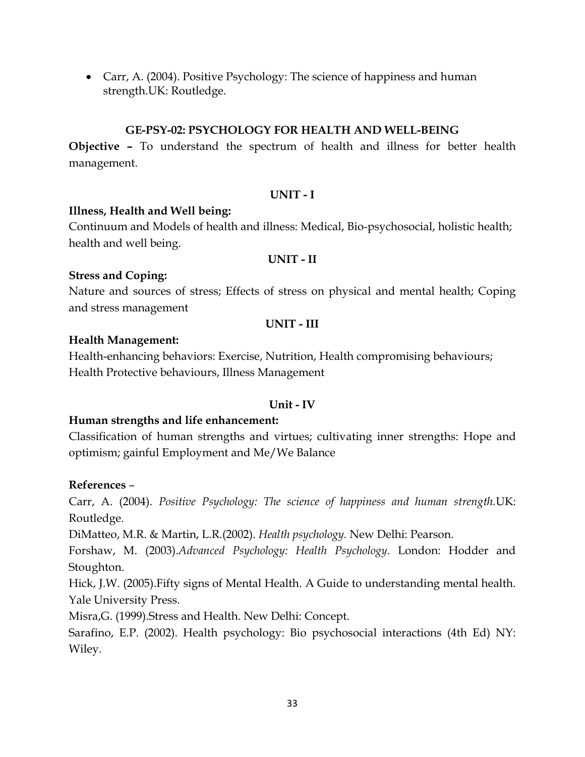• Carr, A. (2004). Positive Psychology: The science of happiness and human strength.UK: Routledge.

### **GE-PSY-02: PSYCHOLOGY FOR HEALTH AND WELL-BEING**

**Objective –** To understand the spectrum of health and illness for better health management.

### **UNIT - I**

### **Illness, Health and Well being:**

Continuum and Models of health and illness: Medical, Bio-psychosocial, holistic health; health and well being.

#### **UNIT - II**

### **Stress and Coping:**

Nature and sources of stress; Effects of stress on physical and mental health; Coping and stress management

#### **UNIT - III**

#### **Health Management:**

Health-enhancing behaviors: Exercise, Nutrition, Health compromising behaviours; Health Protective behaviours, Illness Management

#### **Unit - IV**

## **Human strengths and life enhancement:**

Classification of human strengths and virtues; cultivating inner strengths: Hope and optimism; gainful Employment and Me/We Balance

#### **References** –

Carr, A. (2004). *Positive Psychology: The science of happiness and human strength.*UK: Routledge.

DiMatteo, M.R. & Martin, L.R.(2002). *Health psychology.* New Delhi: Pearson.

Forshaw, M. (2003).*Advanced Psychology: Health Psychology*. London: Hodder and Stoughton.

Hick, J.W. (2005).Fifty signs of Mental Health. A Guide to understanding mental health. Yale University Press.

Misra,G. (1999).Stress and Health. New Delhi: Concept.

Sarafino, E.P. (2002). Health psychology: Bio psychosocial interactions (4th Ed) NY: Wiley.